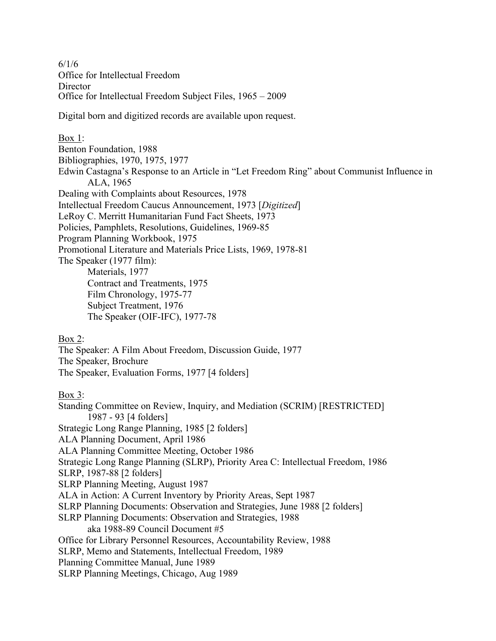6/1/6 Office for Intellectual Freedom **Director** Office for Intellectual Freedom Subject Files, 1965 – 2009

Digital born and digitized records are available upon request.

Box 1: Benton Foundation, 1988 Bibliographies, 1970, 1975, 1977 Edwin Castagna's Response to an Article in "Let Freedom Ring" about Communist Influence in ALA, 1965 Dealing with Complaints about Resources, 1978 Intellectual Freedom Caucus Announcement, 1973 [*Digitized*] LeRoy C. Merritt Humanitarian Fund Fact Sheets, 1973 Policies, Pamphlets, Resolutions, Guidelines, 1969-85 Program Planning Workbook, 1975 Promotional Literature and Materials Price Lists, 1969, 1978-81 The Speaker (1977 film): Materials, 1977 Contract and Treatments, 1975 Film Chronology, 1975-77 Subject Treatment, 1976 The Speaker (OIF-IFC), 1977-78

Box 2: The Speaker: A Film About Freedom, Discussion Guide, 1977 The Speaker, Brochure The Speaker, Evaluation Forms, 1977 [4 folders]

Box 3: Standing Committee on Review, Inquiry, and Mediation (SCRIM) [RESTRICTED] 1987 - 93 [4 folders] Strategic Long Range Planning, 1985 [2 folders] ALA Planning Document, April 1986 ALA Planning Committee Meeting, October 1986 Strategic Long Range Planning (SLRP), Priority Area C: Intellectual Freedom, 1986 SLRP, 1987-88 [2 folders] SLRP Planning Meeting, August 1987 ALA in Action: A Current Inventory by Priority Areas, Sept 1987 SLRP Planning Documents: Observation and Strategies, June 1988 [2 folders] SLRP Planning Documents: Observation and Strategies, 1988 aka 1988-89 Council Document #5 Office for Library Personnel Resources, Accountability Review, 1988 SLRP, Memo and Statements, Intellectual Freedom, 1989 Planning Committee Manual, June 1989

SLRP Planning Meetings, Chicago, Aug 1989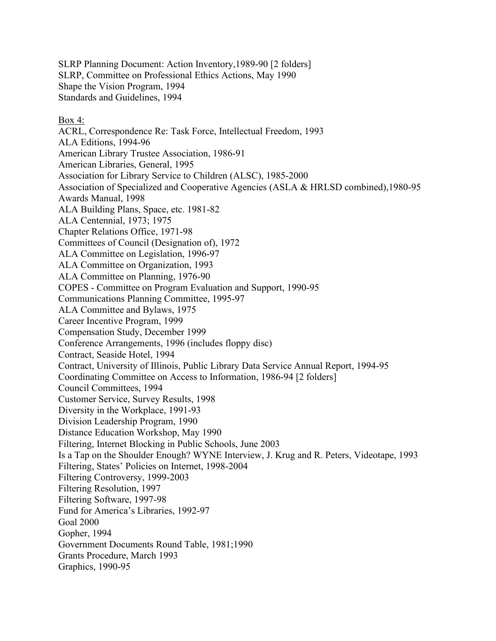SLRP Planning Document: Action Inventory,1989-90 [2 folders] SLRP, Committee on Professional Ethics Actions, May 1990 Shape the Vision Program, 1994 Standards and Guidelines, 1994

## Box 4:

ACRL, Correspondence Re: Task Force, Intellectual Freedom, 1993 ALA Editions, 1994-96 American Library Trustee Association, 1986-91 American Libraries, General, 1995 Association for Library Service to Children (ALSC), 1985-2000 Association of Specialized and Cooperative Agencies (ASLA & HRLSD combined),1980-95 Awards Manual, 1998 ALA Building Plans, Space, etc. 1981-82 ALA Centennial, 1973; 1975 Chapter Relations Office, 1971-98 Committees of Council (Designation of), 1972 ALA Committee on Legislation, 1996-97 ALA Committee on Organization, 1993 ALA Committee on Planning, 1976-90 COPES - Committee on Program Evaluation and Support, 1990-95 Communications Planning Committee, 1995-97 ALA Committee and Bylaws, 1975 Career Incentive Program, 1999 Compensation Study, December 1999 Conference Arrangements, 1996 (includes floppy disc) Contract, Seaside Hotel, 1994 Contract, University of Illinois, Public Library Data Service Annual Report, 1994-95 Coordinating Committee on Access to Information, 1986-94 [2 folders] Council Committees, 1994 Customer Service, Survey Results, 1998 Diversity in the Workplace, 1991-93 Division Leadership Program, 1990 Distance Education Workshop, May 1990 Filtering, Internet Blocking in Public Schools, June 2003 Is a Tap on the Shoulder Enough? WYNE Interview, J. Krug and R. Peters, Videotape, 1993 Filtering, States' Policies on Internet, 1998-2004 Filtering Controversy, 1999-2003 Filtering Resolution, 1997 Filtering Software, 1997-98 Fund for America's Libraries, 1992-97 Goal 2000 Gopher, 1994 Government Documents Round Table, 1981;1990 Grants Procedure, March 1993 Graphics, 1990-95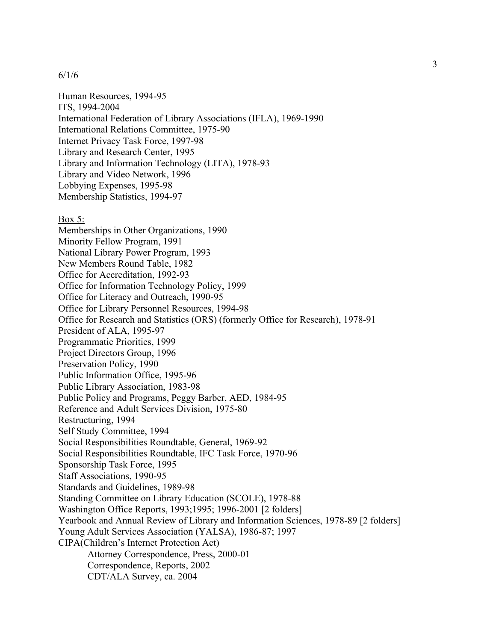Human Resources, 1994-95 ITS, 1994-2004 International Federation of Library Associations (IFLA), 1969-1990 International Relations Committee, 1975-90 Internet Privacy Task Force, 1997-98 Library and Research Center, 1995 Library and Information Technology (LITA), 1978-93 Library and Video Network, 1996 Lobbying Expenses, 1995-98 Membership Statistics, 1994-97

#### Box 5:

Memberships in Other Organizations, 1990 Minority Fellow Program, 1991 National Library Power Program, 1993 New Members Round Table, 1982 Office for Accreditation, 1992-93 Office for Information Technology Policy, 1999 Office for Literacy and Outreach, 1990-95 Office for Library Personnel Resources, 1994-98 Office for Research and Statistics (ORS) (formerly Office for Research), 1978-91 President of ALA, 1995-97 Programmatic Priorities, 1999 Project Directors Group, 1996 Preservation Policy, 1990 Public Information Office, 1995-96 Public Library Association, 1983-98 Public Policy and Programs, Peggy Barber, AED, 1984-95 Reference and Adult Services Division, 1975-80 Restructuring, 1994 Self Study Committee, 1994 Social Responsibilities Roundtable, General, 1969-92 Social Responsibilities Roundtable, IFC Task Force, 1970-96 Sponsorship Task Force, 1995 Staff Associations, 1990-95 Standards and Guidelines, 1989-98 Standing Committee on Library Education (SCOLE), 1978-88 Washington Office Reports, 1993;1995; 1996-2001 [2 folders] Yearbook and Annual Review of Library and Information Sciences, 1978-89 [2 folders] Young Adult Services Association (YALSA), 1986-87; 1997 CIPA(Children's Internet Protection Act) Attorney Correspondence, Press, 2000-01 Correspondence, Reports, 2002 CDT/ALA Survey, ca. 2004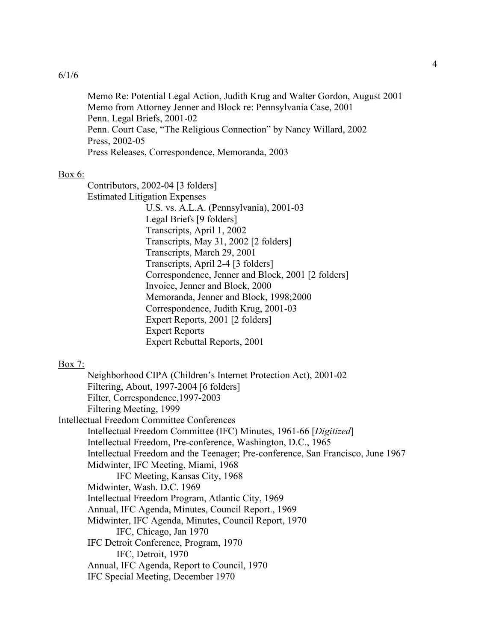Memo Re: Potential Legal Action, Judith Krug and Walter Gordon, August 2001 Memo from Attorney Jenner and Block re: Pennsylvania Case, 2001 Penn. Legal Briefs, 2001-02 Penn. Court Case, "The Religious Connection" by Nancy Willard, 2002 Press, 2002-05 Press Releases, Correspondence, Memoranda, 2003

## Box 6:

Contributors, 2002-04 [3 folders] Estimated Litigation Expenses

U.S. vs. A.L.A. (Pennsylvania), 2001-03 Legal Briefs [9 folders] Transcripts, April 1, 2002 Transcripts, May 31, 2002 [2 folders] Transcripts, March 29, 2001 Transcripts, April 2-4 [3 folders] Correspondence, Jenner and Block, 2001 [2 folders] Invoice, Jenner and Block, 2000 Memoranda, Jenner and Block, 1998;2000 Correspondence, Judith Krug, 2001-03 Expert Reports, 2001 [2 folders] Expert Reports Expert Rebuttal Reports, 2001

### Box 7:

Neighborhood CIPA (Children's Internet Protection Act), 2001-02 Filtering, About, 1997-2004 [6 folders] Filter, Correspondence,1997-2003 Filtering Meeting, 1999 Intellectual Freedom Committee Conferences Intellectual Freedom Committee (IFC) Minutes, 1961-66 [*Digitized*] Intellectual Freedom, Pre-conference, Washington, D.C., 1965 Intellectual Freedom and the Teenager; Pre-conference, San Francisco, June 1967 Midwinter, IFC Meeting, Miami, 1968 IFC Meeting, Kansas City, 1968 Midwinter, Wash. D.C. 1969 Intellectual Freedom Program, Atlantic City, 1969 Annual, IFC Agenda, Minutes, Council Report., 1969 Midwinter, IFC Agenda, Minutes, Council Report, 1970 IFC, Chicago, Jan 1970 IFC Detroit Conference, Program, 1970 IFC, Detroit, 1970 Annual, IFC Agenda, Report to Council, 1970 IFC Special Meeting, December 1970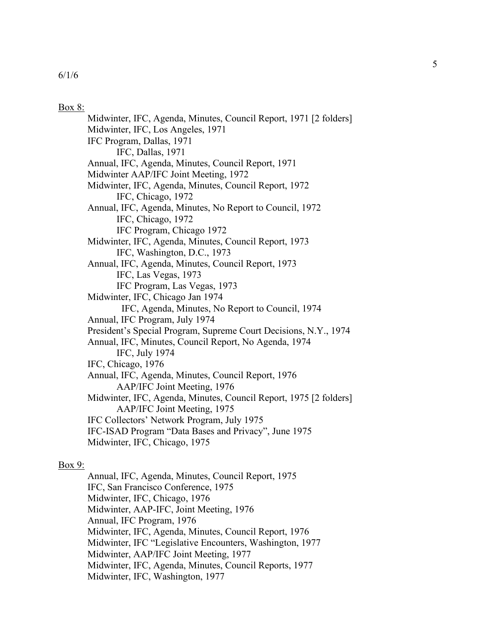#### Box 8:

Midwinter, IFC, Agenda, Minutes, Council Report, 1971 [2 folders] Midwinter, IFC, Los Angeles, 1971 IFC Program, Dallas, 1971 IFC, Dallas, 1971 Annual, IFC, Agenda, Minutes, Council Report, 1971 Midwinter AAP/IFC Joint Meeting, 1972 Midwinter, IFC, Agenda, Minutes, Council Report, 1972 IFC, Chicago, 1972 Annual, IFC, Agenda, Minutes, No Report to Council, 1972 IFC, Chicago, 1972 IFC Program, Chicago 1972 Midwinter, IFC, Agenda, Minutes, Council Report, 1973 IFC, Washington, D.C., 1973 Annual, IFC, Agenda, Minutes, Council Report, 1973 IFC, Las Vegas, 1973 IFC Program, Las Vegas, 1973 Midwinter, IFC, Chicago Jan 1974 IFC, Agenda, Minutes, No Report to Council, 1974 Annual, IFC Program, July 1974 President's Special Program, Supreme Court Decisions, N.Y., 1974 Annual, IFC, Minutes, Council Report, No Agenda, 1974 IFC, July 1974 IFC, Chicago, 1976 Annual, IFC, Agenda, Minutes, Council Report, 1976 AAP/IFC Joint Meeting, 1976 Midwinter, IFC, Agenda, Minutes, Council Report, 1975 [2 folders] AAP/IFC Joint Meeting, 1975 IFC Collectors' Network Program, July 1975 IFC-ISAD Program "Data Bases and Privacy", June 1975 Midwinter, IFC, Chicago, 1975

### Box 9:

Annual, IFC, Agenda, Minutes, Council Report, 1975 IFC, San Francisco Conference, 1975 Midwinter, IFC, Chicago, 1976 Midwinter, AAP-IFC, Joint Meeting, 1976 Annual, IFC Program, 1976 Midwinter, IFC, Agenda, Minutes, Council Report, 1976 Midwinter, IFC "Legislative Encounters, Washington, 1977 Midwinter, AAP/IFC Joint Meeting, 1977 Midwinter, IFC, Agenda, Minutes, Council Reports, 1977 Midwinter, IFC, Washington, 1977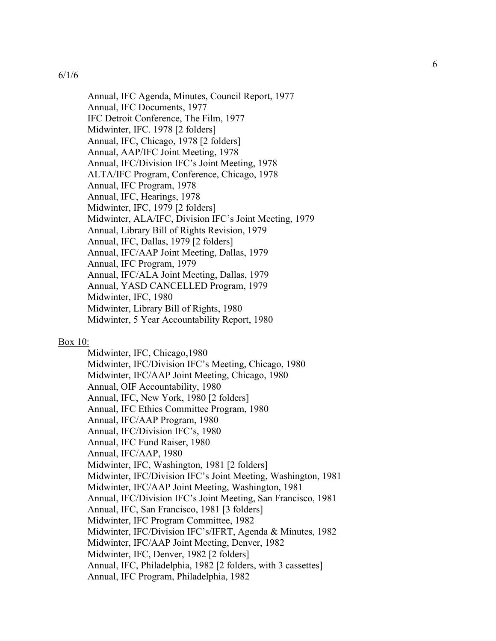Annual, IFC Agenda, Minutes, Council Report, 1977 Annual, IFC Documents, 1977 IFC Detroit Conference, The Film, 1977 Midwinter, IFC. 1978 [2 folders] Annual, IFC, Chicago, 1978 [2 folders] Annual, AAP/IFC Joint Meeting, 1978 Annual, IFC/Division IFC's Joint Meeting, 1978 ALTA/IFC Program, Conference, Chicago, 1978 Annual, IFC Program, 1978 Annual, IFC, Hearings, 1978 Midwinter, IFC, 1979 [2 folders] Midwinter, ALA/IFC, Division IFC's Joint Meeting, 1979 Annual, Library Bill of Rights Revision, 1979 Annual, IFC, Dallas, 1979 [2 folders] Annual, IFC/AAP Joint Meeting, Dallas, 1979 Annual, IFC Program, 1979 Annual, IFC/ALA Joint Meeting, Dallas, 1979 Annual, YASD CANCELLED Program, 1979 Midwinter, IFC, 1980 Midwinter, Library Bill of Rights, 1980 Midwinter, 5 Year Accountability Report, 1980

#### Box 10:

Midwinter, IFC, Chicago,1980 Midwinter, IFC/Division IFC's Meeting, Chicago, 1980 Midwinter, IFC/AAP Joint Meeting, Chicago, 1980 Annual, OIF Accountability, 1980 Annual, IFC, New York, 1980 [2 folders] Annual, IFC Ethics Committee Program, 1980 Annual, IFC/AAP Program, 1980 Annual, IFC/Division IFC's, 1980 Annual, IFC Fund Raiser, 1980 Annual, IFC/AAP, 1980 Midwinter, IFC, Washington, 1981 [2 folders] Midwinter, IFC/Division IFC's Joint Meeting, Washington, 1981 Midwinter, IFC/AAP Joint Meeting, Washington, 1981 Annual, IFC/Division IFC's Joint Meeting, San Francisco, 1981 Annual, IFC, San Francisco, 1981 [3 folders] Midwinter, IFC Program Committee, 1982 Midwinter, IFC/Division IFC's/IFRT, Agenda & Minutes, 1982 Midwinter, IFC/AAP Joint Meeting, Denver, 1982 Midwinter, IFC, Denver, 1982 [2 folders] Annual, IFC, Philadelphia, 1982 [2 folders, with 3 cassettes] Annual, IFC Program, Philadelphia, 1982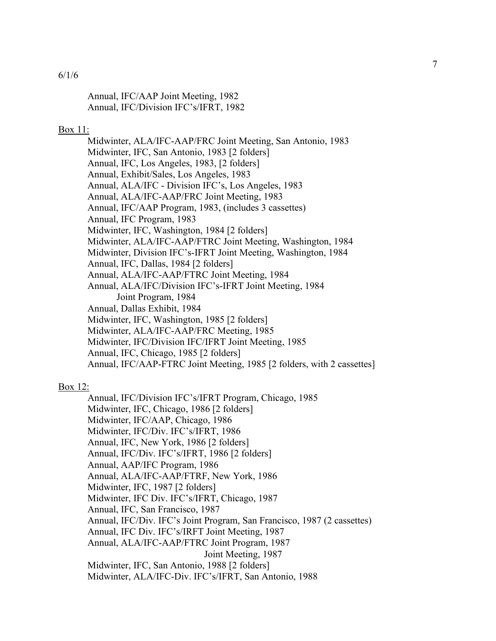Annual, IFC/AAP Joint Meeting, 1982 Annual, IFC/Division IFC's/IFRT, 1982

#### Box 11:

Midwinter, ALA/IFC-AAP/FRC Joint Meeting, San Antonio, 1983 Midwinter, IFC, San Antonio, 1983 [2 folders] Annual, IFC, Los Angeles, 1983, [2 folders] Annual, Exhibit/Sales, Los Angeles, 1983 Annual, ALA/IFC - Division IFC's, Los Angeles, 1983 Annual, ALA/IFC-AAP/FRC Joint Meeting, 1983 Annual, IFC/AAP Program, 1983, (includes 3 cassettes) Annual, IFC Program, 1983 Midwinter, IFC, Washington, 1984 [2 folders] Midwinter, ALA/IFC-AAP/FTRC Joint Meeting, Washington, 1984 Midwinter, Division IFC's-IFRT Joint Meeting, Washington, 1984 Annual, IFC, Dallas, 1984 [2 folders] Annual, ALA/IFC-AAP/FTRC Joint Meeting, 1984 Annual, ALA/IFC/Division IFC's-IFRT Joint Meeting, 1984 Joint Program, 1984 Annual, Dallas Exhibit, 1984 Midwinter, IFC, Washington, 1985 [2 folders] Midwinter, ALA/IFC-AAP/FRC Meeting, 1985 Midwinter, IFC/Division IFC/IFRT Joint Meeting, 1985 Annual, IFC, Chicago, 1985 [2 folders] Annual, IFC/AAP-FTRC Joint Meeting, 1985 [2 folders, with 2 cassettes]

## Box 12:

Annual, IFC/Division IFC's/IFRT Program, Chicago, 1985 Midwinter, IFC, Chicago, 1986 [2 folders] Midwinter, IFC/AAP, Chicago, 1986 Midwinter, IFC/Div. IFC's/IFRT, 1986 Annual, IFC, New York, 1986 [2 folders] Annual, IFC/Div. IFC's/IFRT, 1986 [2 folders] Annual, AAP/IFC Program, 1986 Annual, ALA/IFC-AAP/FTRF, New York, 1986 Midwinter, IFC, 1987 [2 folders] Midwinter, IFC Div. IFC's/IFRT, Chicago, 1987 Annual, IFC, San Francisco, 1987 Annual, IFC/Div. IFC's Joint Program, San Francisco, 1987 (2 cassettes) Annual, IFC Div. IFC's/IRFT Joint Meeting, 1987 Annual, ALA/IFC-AAP/FTRC Joint Program, 1987 Joint Meeting, 1987 Midwinter, IFC, San Antonio, 1988 [2 folders] Midwinter, ALA/IFC-Div. IFC's/IFRT, San Antonio, 1988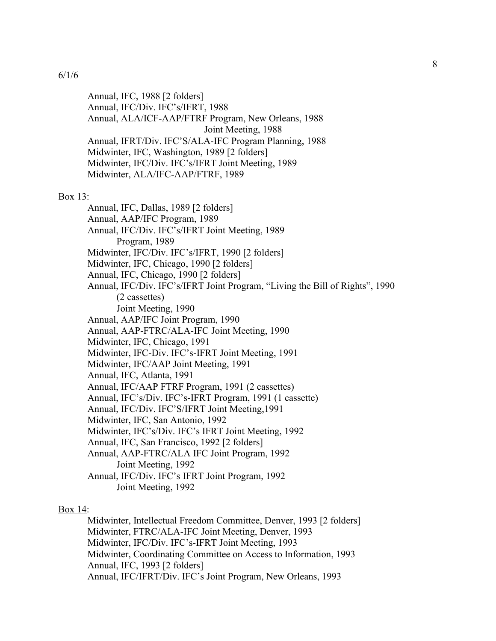Annual, IFC, 1988 [2 folders] Annual, IFC/Div. IFC's/IFRT, 1988 Annual, ALA/ICF-AAP/FTRF Program, New Orleans, 1988 Joint Meeting, 1988 Annual, IFRT/Div. IFC'S/ALA-IFC Program Planning, 1988 Midwinter, IFC, Washington, 1989 [2 folders] Midwinter, IFC/Div. IFC's/IFRT Joint Meeting, 1989 Midwinter, ALA/IFC-AAP/FTRF, 1989

#### Box 13:

Annual, IFC, Dallas, 1989 [2 folders] Annual, AAP/IFC Program, 1989 Annual, IFC/Div. IFC's/IFRT Joint Meeting, 1989 Program, 1989 Midwinter, IFC/Div. IFC's/IFRT, 1990 [2 folders] Midwinter, IFC, Chicago, 1990 [2 folders] Annual, IFC, Chicago, 1990 [2 folders] Annual, IFC/Div. IFC's/IFRT Joint Program, "Living the Bill of Rights", 1990 (2 cassettes) Joint Meeting, 1990 Annual, AAP/IFC Joint Program, 1990 Annual, AAP-FTRC/ALA-IFC Joint Meeting, 1990 Midwinter, IFC, Chicago, 1991 Midwinter, IFC-Div. IFC's-IFRT Joint Meeting, 1991 Midwinter, IFC/AAP Joint Meeting, 1991 Annual, IFC, Atlanta, 1991 Annual, IFC/AAP FTRF Program, 1991 (2 cassettes) Annual, IFC's/Div. IFC's-IFRT Program, 1991 (1 cassette) Annual, IFC/Div. IFC'S/IFRT Joint Meeting,1991 Midwinter, IFC, San Antonio, 1992 Midwinter, IFC's/Div. IFC's IFRT Joint Meeting, 1992 Annual, IFC, San Francisco, 1992 [2 folders] Annual, AAP-FTRC/ALA IFC Joint Program, 1992 Joint Meeting, 1992 Annual, IFC/Div. IFC's IFRT Joint Program, 1992 Joint Meeting, 1992

#### Box 14:

Midwinter, Intellectual Freedom Committee, Denver, 1993 [2 folders] Midwinter, FTRC/ALA-IFC Joint Meeting, Denver, 1993 Midwinter, IFC/Div. IFC's-IFRT Joint Meeting, 1993 Midwinter, Coordinating Committee on Access to Information, 1993 Annual, IFC, 1993 [2 folders] Annual, IFC/IFRT/Div. IFC's Joint Program, New Orleans, 1993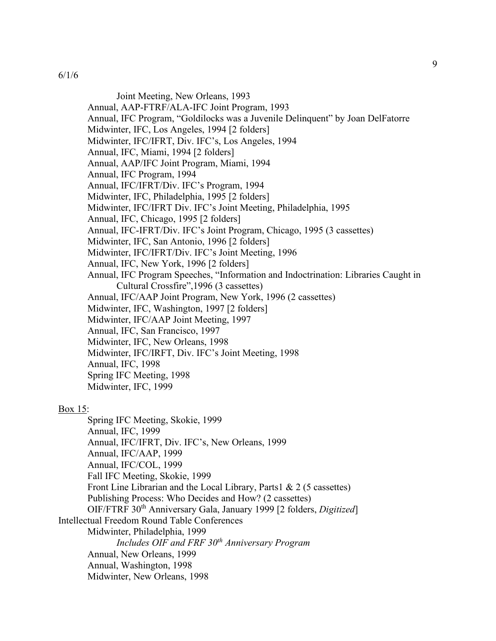Joint Meeting, New Orleans, 1993

- Annual, AAP-FTRF/ALA-IFC Joint Program, 1993
- Annual, IFC Program, "Goldilocks was a Juvenile Delinquent" by Joan DelFatorre
- Midwinter, IFC, Los Angeles, 1994 [2 folders]
- Midwinter, IFC/IFRT, Div. IFC's, Los Angeles, 1994
- Annual, IFC, Miami, 1994 [2 folders]
- Annual, AAP/IFC Joint Program, Miami, 1994
- Annual, IFC Program, 1994
- Annual, IFC/IFRT/Div. IFC's Program, 1994
- Midwinter, IFC, Philadelphia, 1995 [2 folders]
- Midwinter, IFC/IFRT Div. IFC's Joint Meeting, Philadelphia, 1995
- Annual, IFC, Chicago, 1995 [2 folders]
- Annual, IFC-IFRT/Div. IFC's Joint Program, Chicago, 1995 (3 cassettes)
- Midwinter, IFC, San Antonio, 1996 [2 folders]
- Midwinter, IFC/IFRT/Div. IFC's Joint Meeting, 1996
- Annual, IFC, New York, 1996 [2 folders]
- Annual, IFC Program Speeches, "Information and Indoctrination: Libraries Caught in Cultural Crossfire",1996 (3 cassettes)
- Annual, IFC/AAP Joint Program, New York, 1996 (2 cassettes)
- Midwinter, IFC, Washington, 1997 [2 folders]
- Midwinter, IFC/AAP Joint Meeting, 1997
- Annual, IFC, San Francisco, 1997
- Midwinter, IFC, New Orleans, 1998
- Midwinter, IFC/IRFT, Div. IFC's Joint Meeting, 1998
- Annual, IFC, 1998
- Spring IFC Meeting, 1998
- Midwinter, IFC, 1999

### Box 15:

Spring IFC Meeting, Skokie, 1999 Annual, IFC, 1999 Annual, IFC/IFRT, Div. IFC's, New Orleans, 1999 Annual, IFC/AAP, 1999 Annual, IFC/COL, 1999 Fall IFC Meeting, Skokie, 1999 Front Line Librarian and the Local Library, Parts1 & 2 (5 cassettes) Publishing Process: Who Decides and How? (2 cassettes) OIF/FTRF 30th Anniversary Gala, January 1999 [2 folders, *Digitized*] Intellectual Freedom Round Table Conferences Midwinter, Philadelphia, 1999 *Includes OIF and FRF 30th Anniversary Program* Annual, New Orleans, 1999 Annual, Washington, 1998 Midwinter, New Orleans, 1998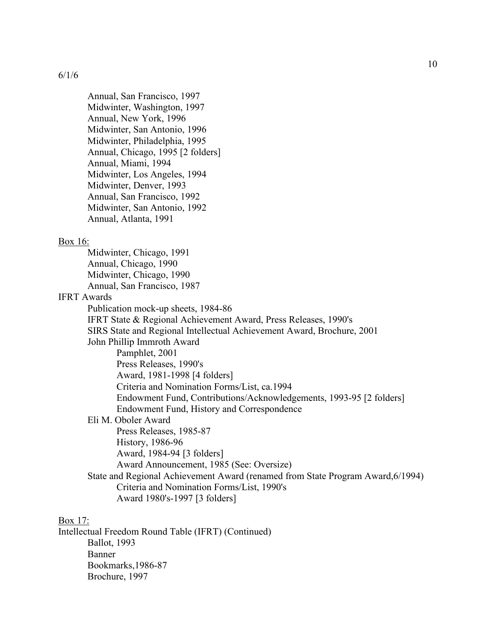Annual, San Francisco, 1997 Midwinter, Washington, 1997 Annual, New York, 1996 Midwinter, San Antonio, 1996 Midwinter, Philadelphia, 1995 Annual, Chicago, 1995 [2 folders] Annual, Miami, 1994 Midwinter, Los Angeles, 1994 Midwinter, Denver, 1993 Annual, San Francisco, 1992 Midwinter, San Antonio, 1992 Annual, Atlanta, 1991

### Box 16:

Midwinter, Chicago, 1991 Annual, Chicago, 1990 Midwinter, Chicago, 1990 Annual, San Francisco, 1987 IFRT Awards Publication mock-up sheets, 1984-86 IFRT State & Regional Achievement Award, Press Releases, 1990's SIRS State and Regional Intellectual Achievement Award, Brochure, 2001 John Phillip Immroth Award Pamphlet, 2001 Press Releases, 1990's Award, 1981-1998 [4 folders] Criteria and Nomination Forms/List, ca.1994 Endowment Fund, Contributions/Acknowledgements, 1993-95 [2 folders] Endowment Fund, History and Correspondence Eli M. Oboler Award Press Releases, 1985-87 History, 1986-96 Award, 1984-94 [3 folders] Award Announcement, 1985 (See: Oversize) State and Regional Achievement Award (renamed from State Program Award,6/1994) Criteria and Nomination Forms/List, 1990's

Award 1980's-1997 [3 folders]

# Box 17:

Intellectual Freedom Round Table (IFRT) (Continued) Ballot, 1993 Banner Bookmarks,1986-87 Brochure, 1997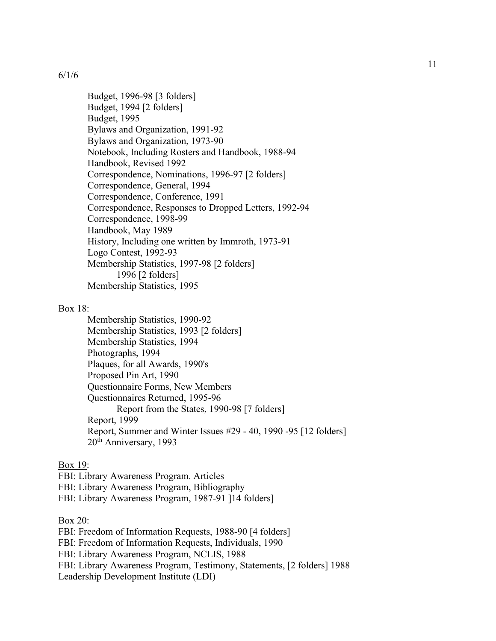Budget, 1996-98 [3 folders] Budget, 1994 [2 folders] Budget, 1995 Bylaws and Organization, 1991-92 Bylaws and Organization, 1973-90 Notebook, Including Rosters and Handbook, 1988-94 Handbook, Revised 1992 Correspondence, Nominations, 1996-97 [2 folders] Correspondence, General, 1994 Correspondence, Conference, 1991 Correspondence, Responses to Dropped Letters, 1992-94 Correspondence, 1998-99 Handbook, May 1989 History, Including one written by Immroth, 1973-91 Logo Contest, 1992-93 Membership Statistics, 1997-98 [2 folders] 1996 [2 folders] Membership Statistics, 1995

## Box 18:

Membership Statistics, 1990-92 Membership Statistics, 1993 [2 folders] Membership Statistics, 1994 Photographs, 1994 Plaques, for all Awards, 1990's Proposed Pin Art, 1990 Questionnaire Forms, New Members Questionnaires Returned, 1995-96 Report from the States, 1990-98 [7 folders] Report, 1999 Report, Summer and Winter Issues #29 - 40, 1990 -95 [12 folders] 20th Anniversary, 1993

## Box 19:

FBI: Library Awareness Program. Articles FBI: Library Awareness Program, Bibliography FBI: Library Awareness Program, 1987-91 ]14 folders]

## Box 20:

FBI: Freedom of Information Requests, 1988-90 [4 folders] FBI: Freedom of Information Requests, Individuals, 1990 FBI: Library Awareness Program, NCLIS, 1988 FBI: Library Awareness Program, Testimony, Statements, [2 folders] 1988 Leadership Development Institute (LDI)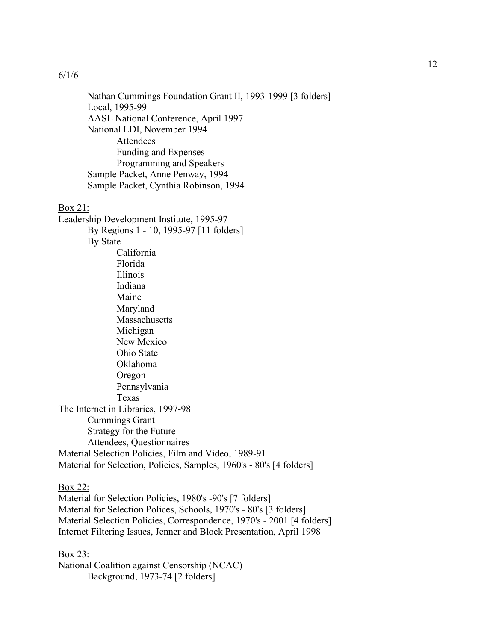Nathan Cummings Foundation Grant II, 1993-1999 [3 folders] Local, 1995-99 AASL National Conference, April 1997 National LDI, November 1994 Attendees Funding and Expenses Programming and Speakers Sample Packet, Anne Penway, 1994 Sample Packet, Cynthia Robinson, 1994

#### Box 21:

Leadership Development Institute**,** 1995-97 By Regions 1 - 10, 1995-97 [11 folders] By State California Florida Illinois Indiana Maine Maryland Massachusetts Michigan New Mexico Ohio State Oklahoma Oregon Pennsylvania Texas The Internet in Libraries, 1997-98 Cummings Grant Strategy for the Future Attendees, Questionnaires Material Selection Policies, Film and Video, 1989-91 Material for Selection, Policies, Samples, 1960's - 80's [4 folders]

#### Box 22:

Material for Selection Policies, 1980's -90's [7 folders] Material for Selection Polices, Schools, 1970's - 80's [3 folders] Material Selection Policies, Correspondence, 1970's - 2001 [4 folders] Internet Filtering Issues, Jenner and Block Presentation, April 1998

Box 23: National Coalition against Censorship (NCAC) Background, 1973-74 [2 folders]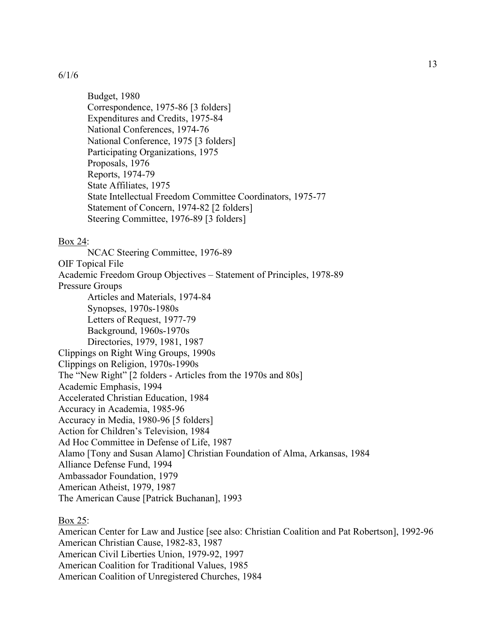Budget, 1980 Correspondence, 1975-86 [3 folders] Expenditures and Credits, 1975-84 National Conferences, 1974-76 National Conference, 1975 [3 folders] Participating Organizations, 1975 Proposals, 1976 Reports, 1974-79 State Affiliates, 1975 State Intellectual Freedom Committee Coordinators, 1975-77 Statement of Concern, 1974-82 [2 folders] Steering Committee, 1976-89 [3 folders]

#### Box 24:

NCAC Steering Committee, 1976-89 OIF Topical File Academic Freedom Group Objectives – Statement of Principles, 1978-89 Pressure Groups Articles and Materials, 1974-84 Synopses, 1970s-1980s Letters of Request, 1977-79 Background, 1960s-1970s Directories, 1979, 1981, 1987 Clippings on Right Wing Groups, 1990s Clippings on Religion, 1970s-1990s The "New Right" [2 folders - Articles from the 1970s and 80s] Academic Emphasis, 1994 Accelerated Christian Education, 1984 Accuracy in Academia, 1985-96 Accuracy in Media, 1980-96 [5 folders] Action for Children's Television, 1984 Ad Hoc Committee in Defense of Life, 1987 Alamo [Tony and Susan Alamo] Christian Foundation of Alma, Arkansas, 1984 Alliance Defense Fund, 1994 Ambassador Foundation, 1979 American Atheist, 1979, 1987 The American Cause [Patrick Buchanan], 1993

#### Box 25:

American Center for Law and Justice [see also: Christian Coalition and Pat Robertson], 1992-96 American Christian Cause, 1982-83, 1987 American Civil Liberties Union, 1979-92, 1997 American Coalition for Traditional Values, 1985 American Coalition of Unregistered Churches, 1984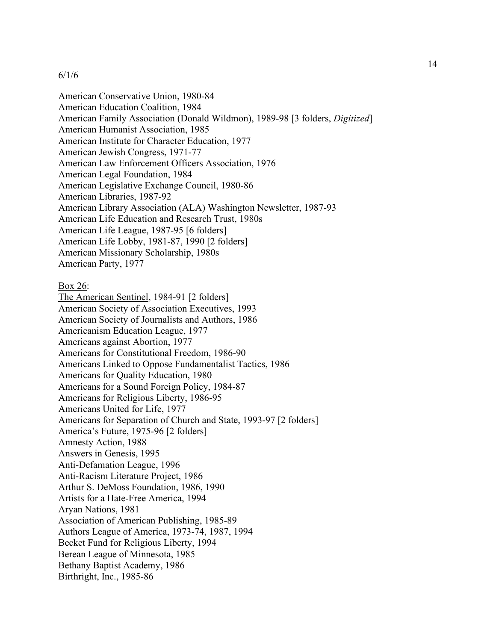American Conservative Union, 1980-84 American Education Coalition, 1984 American Family Association (Donald Wildmon), 1989-98 [3 folders, *Digitized*] American Humanist Association, 1985 American Institute for Character Education, 1977 American Jewish Congress, 1971-77 American Law Enforcement Officers Association, 1976 American Legal Foundation, 1984 American Legislative Exchange Council, 1980-86 American Libraries, 1987-92 American Library Association (ALA) Washington Newsletter, 1987-93 American Life Education and Research Trust, 1980s American Life League, 1987-95 [6 folders] American Life Lobby, 1981-87, 1990 [2 folders] American Missionary Scholarship, 1980s American Party, 1977

## Box 26:

The American Sentinel, 1984-91 [2 folders] American Society of Association Executives, 1993 American Society of Journalists and Authors, 1986 Americanism Education League, 1977 Americans against Abortion, 1977 Americans for Constitutional Freedom, 1986-90 Americans Linked to Oppose Fundamentalist Tactics, 1986 Americans for Quality Education, 1980 Americans for a Sound Foreign Policy, 1984-87 Americans for Religious Liberty, 1986-95 Americans United for Life, 1977 Americans for Separation of Church and State, 1993-97 [2 folders] America's Future, 1975-96 [2 folders] Amnesty Action, 1988 Answers in Genesis, 1995 Anti-Defamation League, 1996 Anti-Racism Literature Project, 1986 Arthur S. DeMoss Foundation, 1986, 1990 Artists for a Hate-Free America, 1994 Aryan Nations, 1981 Association of American Publishing, 1985-89 Authors League of America, 1973-74, 1987, 1994 Becket Fund for Religious Liberty, 1994 Berean League of Minnesota, 1985 Bethany Baptist Academy, 1986 Birthright, Inc., 1985-86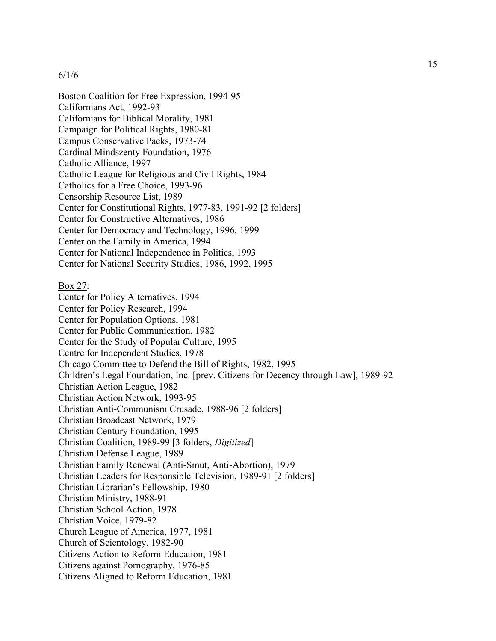Boston Coalition for Free Expression, 1994-95 Californians Act, 1992-93 Californians for Biblical Morality, 1981 Campaign for Political Rights, 1980-81 Campus Conservative Packs, 1973-74 Cardinal Mindszenty Foundation, 1976 Catholic Alliance, 1997 Catholic League for Religious and Civil Rights, 1984 Catholics for a Free Choice, 1993-96 Censorship Resource List, 1989 Center for Constitutional Rights, 1977-83, 1991-92 [2 folders] Center for Constructive Alternatives, 1986 Center for Democracy and Technology, 1996, 1999 Center on the Family in America, 1994 Center for National Independence in Politics, 1993 Center for National Security Studies, 1986, 1992, 1995

### Box 27:

Center for Policy Alternatives, 1994 Center for Policy Research, 1994 Center for Population Options, 1981 Center for Public Communication, 1982 Center for the Study of Popular Culture, 1995 Centre for Independent Studies, 1978 Chicago Committee to Defend the Bill of Rights, 1982, 1995 Children's Legal Foundation, Inc. [prev. Citizens for Decency through Law], 1989-92 Christian Action League, 1982 Christian Action Network, 1993-95 Christian Anti-Communism Crusade, 1988-96 [2 folders] Christian Broadcast Network, 1979 Christian Century Foundation, 1995 Christian Coalition, 1989-99 [3 folders, *Digitized*] Christian Defense League, 1989 Christian Family Renewal (Anti-Smut, Anti-Abortion), 1979 Christian Leaders for Responsible Television, 1989-91 [2 folders] Christian Librarian's Fellowship, 1980 Christian Ministry, 1988-91 Christian School Action, 1978 Christian Voice, 1979-82 Church League of America, 1977, 1981 Church of Scientology, 1982-90 Citizens Action to Reform Education, 1981 Citizens against Pornography, 1976-85 Citizens Aligned to Reform Education, 1981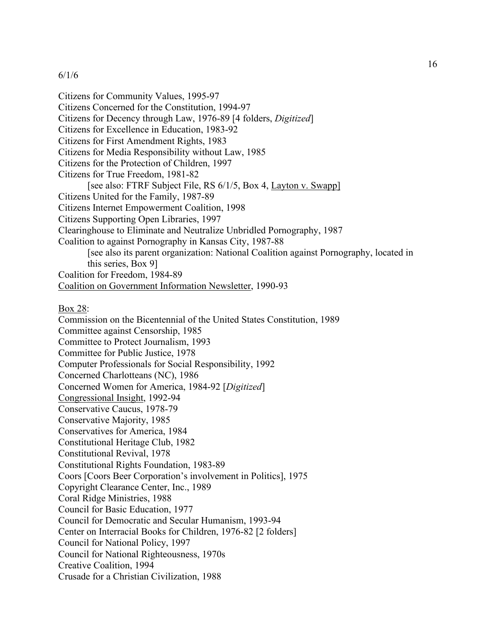Citizens for Community Values, 1995-97 Citizens Concerned for the Constitution, 1994-97 Citizens for Decency through Law, 1976-89 [4 folders, *Digitized*] Citizens for Excellence in Education, 1983-92 Citizens for First Amendment Rights, 1983 Citizens for Media Responsibility without Law, 1985 Citizens for the Protection of Children, 1997 Citizens for True Freedom, 1981-82 [see also: FTRF Subject File, RS 6/1/5, Box 4, Layton v. Swapp] Citizens United for the Family, 1987-89 Citizens Internet Empowerment Coalition, 1998 Citizens Supporting Open Libraries, 1997 Clearinghouse to Eliminate and Neutralize Unbridled Pornography, 1987 Coalition to against Pornography in Kansas City, 1987-88 [see also its parent organization: National Coalition against Pornography, located in this series, Box 9] Coalition for Freedom, 1984-89 Coalition on Government Information Newsletter, 1990-93

#### Box 28:

Commission on the Bicentennial of the United States Constitution, 1989 Committee against Censorship, 1985 Committee to Protect Journalism, 1993 Committee for Public Justice, 1978 Computer Professionals for Social Responsibility, 1992 Concerned Charlotteans (NC), 1986 Concerned Women for America, 1984-92 [*Digitized*] Congressional Insight, 1992-94 Conservative Caucus, 1978-79 Conservative Majority, 1985 Conservatives for America, 1984 Constitutional Heritage Club, 1982 Constitutional Revival, 1978 Constitutional Rights Foundation, 1983-89 Coors [Coors Beer Corporation's involvement in Politics], 1975 Copyright Clearance Center, Inc., 1989 Coral Ridge Ministries, 1988 Council for Basic Education, 1977 Council for Democratic and Secular Humanism, 1993-94 Center on Interracial Books for Children, 1976-82 [2 folders] Council for National Policy, 1997 Council for National Righteousness, 1970s Creative Coalition, 1994 Crusade for a Christian Civilization, 1988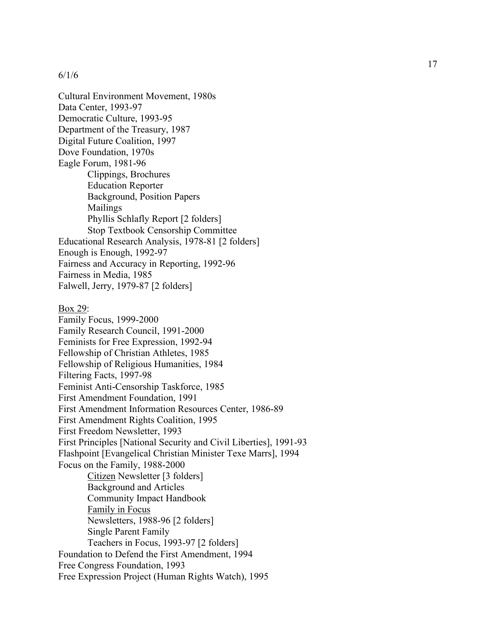Cultural Environment Movement, 1980s Data Center, 1993 -97 Democratic Culture, 1993 -95 Department of the Treasury, 1987 Digital Future Coalition, 1997 Dove Foundation, 1970s Eagle Forum, 1981 -96 Clippings, Brochures Education Reporter Background, Position Papers Mailings Phyllis Schlafly Report [2 folders] Stop Textbook Censorship Committee Educational Research Analysis, 1978 -81 [2 folders] Enough is Enough, 1992 -97 Fairness and Accuracy in Reporting, 1992 -96 Fairness in Media, 1985 Falwell, Jerry, 1979 -87 [2 folders] Box 29: Family Focus, 1999 -2000 Family Research Council, 1991 -2000 Feminists for Free Expression, 1992 -94 Fellowship of Christian Athletes, 1985 Fellowship of Religious Humanities, 1984 Filtering Facts, 1997 -98 Feminist Anti -Censorship Taskforce, 1985 First Amendment Foundation, 1991 First Amendment Information Resources Center, 1986 -89 First Amendment Rights Coalition, 1995 First Freedom Newsletter, 1993 First Principles [National Security and Civil Liberties], 1991 -93 Flashpoint [Evangelical Christian Minister Texe Marrs], 1994 Focus on the Family, 1988 -2000 Citizen Newsletter [3 folders] Background and Articles Community Impact Handbook Family in Focus Newsletters, 1988-96 [2 folders] Single Parent Family Teachers in Focus, 1993 -97 [2 folders] Foundation to Defend the First Amendment, 1994 Free Congress Foundation, 1993 Free Expression Project (Human Rights Watch), 1995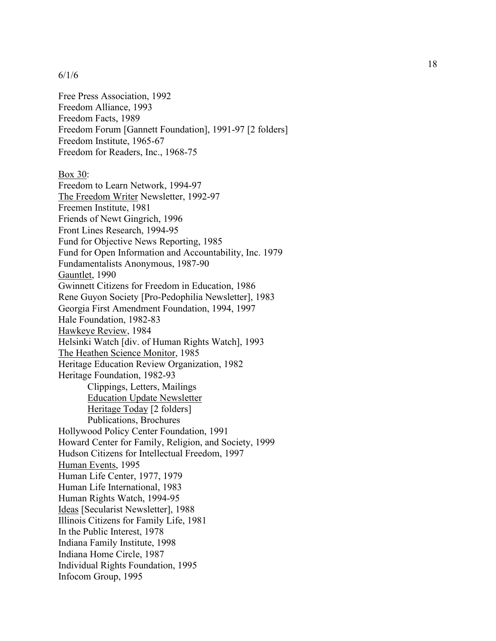Free Press Association, 1992 Freedom Alliance, 1993 Freedom Facts, 1989 Freedom Forum [Gannett Foundation], 1991 -97 [2 folders] Freedom Institute, 1965 -67 Freedom for Readers, Inc., 1968 -75

Box 30: Freedom to Learn Network, 1994 -97 The Freedom Writer Newsletter, 1992-97 Freemen Institute, 1981 Friends of Newt Gingrich, 1996 Front Lines Research, 1994 -95 Fund for Objective News Reporting, 1985 Fund for Open Information and Accountability, Inc. 1979 Fundamentalists Anonymous, 1987 -90 Gauntlet, 1990 Gwinnett Citizens for Freedom in Education, 1986 Rene Guyon Society [Pro -Pedophilia Newsletter], 1983 Georgia First Amendment Foundation, 1994, 1997 Hale Foundation, 1982 -83 Hawkeye Review, 1984 Helsinki Watch [div. of Human Rights Watch], 1993 The Heathen Science Monitor, 1985 Heritage Education Review Organization, 1982 Heritage Foundation, 1982 -93 Clippings, Letters, Mailings Education Update Newsletter Heritage Today [2 folders] Publications, Brochures Hollywood Policy Center Foundation, 1991 Howard Center for Family, Religion, and Society, 1999 Hudson Citizens for Intellectual Freedom, 1997 Human Events, 1995 Human Life Center, 1977, 1979 Human Life International, 1983 Human Rights Watch, 1994 -95 Ideas [Secularist Newsletter], 1988 Illinois Citizens for Family Life, 1981 In the Public Interest, 1978 Indiana Family Institute, 1998 Indiana Home Circle, 1987 Individual Rights Foundation, 1995 Infocom Group, 1995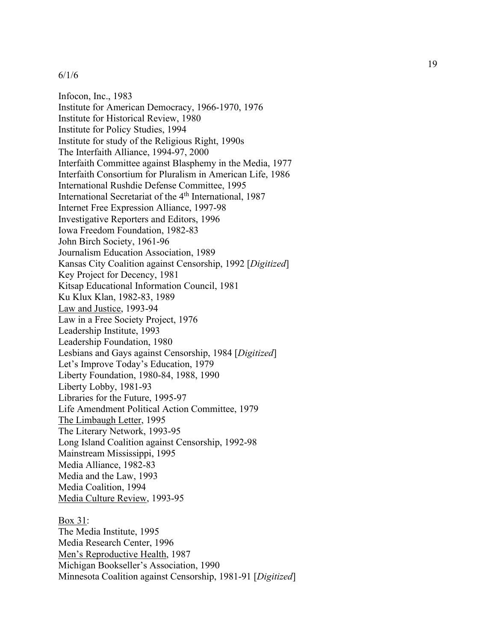Infocon, Inc., 1983 Institute for American Democracy, 1966 -1970, 1976 Institute for Historical Review, 1980 Institute for Policy Studies, 1994 Institute for study of the Religious Right, 1990s The Interfaith Alliance, 1994 -97, 2000 Interfaith Committee against Blasphemy in the Media, 1977 Interfaith Consortium for Pluralism in American Life, 1986 International Rushdie Defense Committee, 1995 International Secretariat of the 4<sup>th</sup> International, 1987 Internet Free Expression Alliance, 1997 -98 Investigative Reporters and Editors, 1996 Iowa Freedom Foundation, 1982 -83 John Birch Society, 1961 -96 Journalism Education Association, 1989 Kansas City Coalition against Censorship, 1992 [*Digitized*] Key Project for Decency, 1981 Kitsap Educational Information Council, 1981 Ku Klux Klan, 1982 -83, 1989 Law and Justice, 1993 -94 Law in a Free Society Project, 1976 Leadership Institute, 1993 Leadership Foundation, 1980 Lesbians and Gays against Censorship, 1984 [*Digitized*] Let's Improve Today's Education, 1979 Liberty Foundation, 1980 -84, 1988, 1990 Liberty Lobby, 1981 -93 Libraries for the Future, 1995 -97 Life Amendment Political Action Committee, 1979 The Limbaugh Letter, 1995 The Literary Network, 1993 -95 Long Island Coalition against Censorship, 1992 -98 Mainstream Mississippi, 1995 Media Alliance, 1982 -83 Media and the Law, 1993 Media Coalition, 1994 Media Culture Review, 1993 -95

Box 31: The Media Institute, 1995 Media Research Center, 1996 Men's Reproductive Health, 1987 Michigan Bookseller's Association, 1990 Minnesota Coalition against Censorship, 1981 -91 [*Digitized*]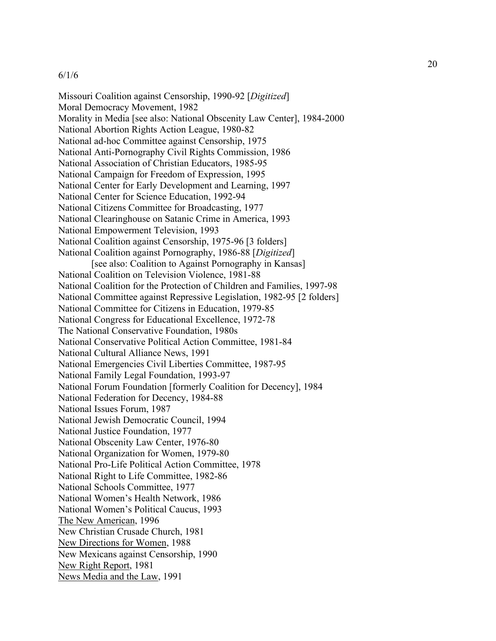Missouri Coalition against Censorship, 1990-92 [*Digitized*] Moral Democracy Movement, 1982 Morality in Media [see also: National Obscenity Law Center], 1984-2000 National Abortion Rights Action League, 1980-82 National ad-hoc Committee against Censorship, 1975 National Anti-Pornography Civil Rights Commission, 1986 National Association of Christian Educators, 1985-95 National Campaign for Freedom of Expression, 1995 National Center for Early Development and Learning, 1997 National Center for Science Education, 1992-94 National Citizens Committee for Broadcasting, 1977 National Clearinghouse on Satanic Crime in America, 1993 National Empowerment Television, 1993 National Coalition against Censorship, 1975-96 [3 folders] National Coalition against Pornography, 1986-88 [*Digitized*] [see also: Coalition to Against Pornography in Kansas] National Coalition on Television Violence, 1981-88 National Coalition for the Protection of Children and Families, 1997-98 National Committee against Repressive Legislation, 1982-95 [2 folders] National Committee for Citizens in Education, 1979-85 National Congress for Educational Excellence, 1972-78 The National Conservative Foundation, 1980s National Conservative Political Action Committee, 1981-84 National Cultural Alliance News, 1991 National Emergencies Civil Liberties Committee, 1987-95 National Family Legal Foundation, 1993-97 National Forum Foundation [formerly Coalition for Decency], 1984 National Federation for Decency, 1984-88 National Issues Forum, 1987 National Jewish Democratic Council, 1994 National Justice Foundation, 1977 National Obscenity Law Center, 1976-80 National Organization for Women, 1979-80 National Pro-Life Political Action Committee, 1978 National Right to Life Committee, 1982-86 National Schools Committee, 1977 National Women's Health Network, 1986 National Women's Political Caucus, 1993 The New American, 1996 New Christian Crusade Church, 1981 New Directions for Women, 1988 New Mexicans against Censorship, 1990 New Right Report, 1981 News Media and the Law, 1991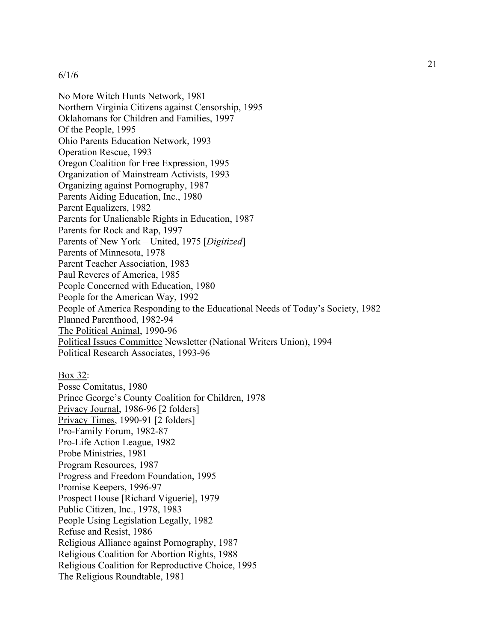No More Witch Hunts Network, 1981 Northern Virginia Citizens against Censorship, 1995 Oklahomans for Children and Families, 1997 Of the People, 1995 Ohio Parents Education Network, 1993 Operation Rescue, 1993 Oregon Coalition for Free Expression, 1995 Organization of Mainstream Activists, 1993 Organizing against Pornography, 1987 Parents Aiding Education, Inc., 1980 Parent Equalizers, 1982 Parents for Unalienable Rights in Education, 1987 Parents for Rock and Rap, 1997 Parents of New York – United, 1975 [*Digitized*] Parents of Minnesota, 1978 Parent Teacher Association, 1983 Paul Reveres of America, 1985 People Concerned with Education, 1980 People for the American Way, 1992 People of America Responding to the Educational Needs of Today's Society, 1982 Planned Parenthood, 1982-94 The Political Animal, 1990-96 Political Issues Committee Newsletter (National Writers Union), 1994 Political Research Associates, 1993-96

Box 32: Posse Comitatus, 1980 Prince George's County Coalition for Children, 1978 Privacy Journal, 1986-96 [2 folders] Privacy Times, 1990-91 [2 folders] Pro-Family Forum, 1982-87 Pro-Life Action League, 1982 Probe Ministries, 1981 Program Resources, 1987 Progress and Freedom Foundation, 1995 Promise Keepers, 1996-97 Prospect House [Richard Viguerie], 1979 Public Citizen, Inc., 1978, 1983 People Using Legislation Legally, 1982 Refuse and Resist, 1986 Religious Alliance against Pornography, 1987 Religious Coalition for Abortion Rights, 1988 Religious Coalition for Reproductive Choice, 1995 The Religious Roundtable, 1981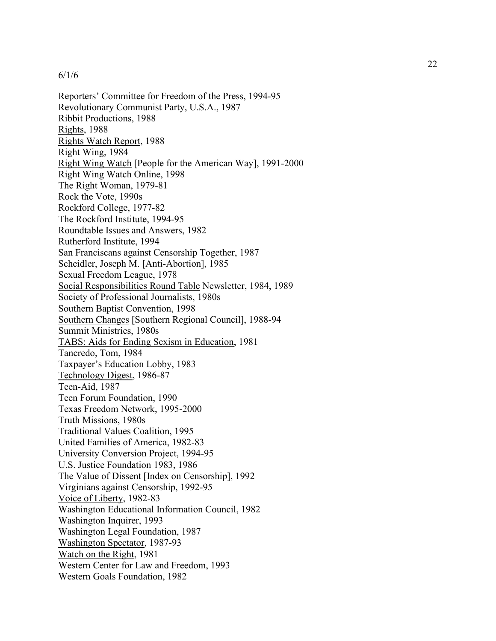Reporters' Committee for Freedom of the Press, 1994 -95 Revolutionary Communist Party, U.S.A., 1987 Ribbit Productions, 1988 Rights, 1988 Rights Watch Report, 1988 Right Wing, 1984 Right Wing Watch [People for the American Way], 1991-2000 Right Wing Watch Online, 1998 The Right Woman, 1979-81 Rock the Vote, 1990s Rockford College, 1977 -82 The Rockford Institute, 1994 -95 Roundtable Issues and Answers, 1982 Rutherford Institute, 1994 San Franciscans against Censorship Together, 1987 Scheidler, Joseph M. [Anti -Abortion], 1985 Sexual Freedom League, 1978 Social Responsibilities Round Table Newsletter, 1984, 1989 Society of Professional Journalists, 1980s Southern Baptist Convention, 1998 Southern Changes [Southern Regional Council], 1988 -94 Summit Ministries, 1980s TABS: Aids for Ending Sexism in Education, 1981 Tancredo, Tom, 1984 Taxpayer's Education Lobby, 1983 Technology Digest, 1986 -87 Teen -Aid, 1987 Teen Forum Foundation, 1990 Texas Freedom Network, 1995 -2000 Truth Missions, 1980s Traditional Values Coalition, 1995 United Families of America, 1982 -83 University Conversion Project, 1994 -95 U.S. Justice Foundation 1983, 1986 The Value of Dissent [Index on Censorship], 1992 Virginians against Censorship, 1992 -95 Voice of Liberty, 1982 -83 Washington Educational Information Council, 1982 Washington Inquirer, 1993 Washington Legal Foundation, 1987 Washington Spectator, 1987 -93 Watch on the Right, 1981 Western Center for Law and Freedom, 1993 Western Goals Foundation, 1982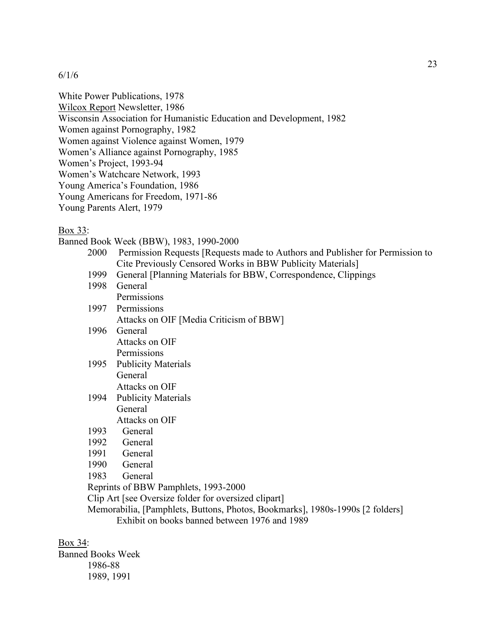White Power Publications, 1978

Wilcox Report Newsletter, 1986

Wisconsin Association for Humanistic Education and Development, 1982

Women against Pornography, 1982

Women against Violence against Women, 1979

Women's Alliance against Pornography, 1985

Women's Project, 1993-94

Women's Watchcare Network, 1993

Young America's Foundation, 1986

Young Americans for Freedom, 1971-86

Young Parents Alert, 1979

Box 33:

Banned Book Week (BBW), 1983, 1990-2000

- 2000 Permission Requests [Requests made to Authors and Publisher for Permission to Cite Previously Censored Works in BBW Publicity Materials]
- 1999 General [Planning Materials for BBW, Correspondence, Clippings
- 1998 General **Permissions** 1997 Permissions Attacks on OIF [Media Criticism of BBW] 1996 General Attacks on OIF **Permissions** 1995 Publicity Materials General Attacks on OIF 1994 Publicity Materials General Attacks on OIF 1993 General
- 
- 1992 General
- 1991 General
- 1990 General
- 1983 General

Reprints of BBW Pamphlets, 1993-2000

Clip Art [see Oversize folder for oversized clipart]

Memorabilia, [Pamphlets, Buttons, Photos, Bookmarks], 1980s-1990s [2 folders] Exhibit on books banned between 1976 and 1989

Box 34:

Banned Books Week 1986-88 1989, 1991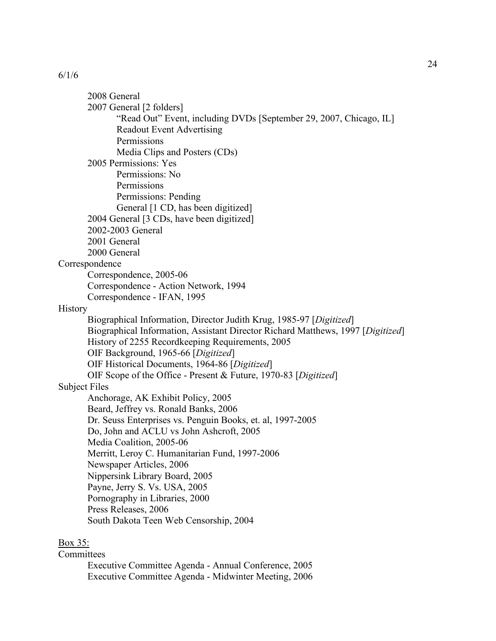2008 General 2007 General [2 folders] "Read Out" Event, including DVDs [September 29, 2007, Chicago, IL] Readout Event Advertising Permissions Media Clips and Posters (CDs) 2005 Permissions: Yes Permissions: No Permissions Permissions: Pending General [1 CD, has been digitized] 2004 General [3 CDs, have been digitized] 2002-2003 General 2001 General 2000 General Correspondence Correspondence, 2005-06 Correspondence - Action Network, 1994 Correspondence - IFAN, 1995 **History** Biographical Information, Director Judith Krug, 1985-97 [*Digitized*] Biographical Information, Assistant Director Richard Matthews, 1997 [*Digitized*] History of 2255 Recordkeeping Requirements, 2005 OIF Background, 1965-66 [*Digitized*] OIF Historical Documents, 1964-86 [*Digitized*] OIF Scope of the Office - Present & Future, 1970-83 [*Digitized*] Subject Files Anchorage, AK Exhibit Policy, 2005 Beard, Jeffrey vs. Ronald Banks, 2006 Dr. Seuss Enterprises vs. Penguin Books, et. al, 1997-2005 Do, John and ACLU vs John Ashcroft, 2005 Media Coalition, 2005-06 Merritt, Leroy C. Humanitarian Fund, 1997-2006 Newspaper Articles, 2006 Nippersink Library Board, 2005 Payne, Jerry S. Vs. USA, 2005 Pornography in Libraries, 2000 Press Releases, 2006 South Dakota Teen Web Censorship, 2004

## Box 35:

**Committees** 

Executive Committee Agenda - Annual Conference, 2005 Executive Committee Agenda - Midwinter Meeting, 2006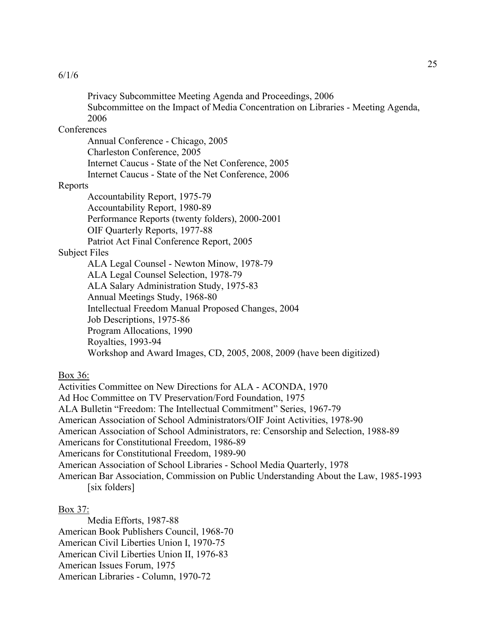Privacy Subcommittee Meeting Agenda and Proceedings, 2006 Subcommittee on the Impact of Media Concentration on Libraries - Meeting Agenda, 2006

### **Conferences**

Annual Conference - Chicago, 2005 Charleston Conference, 2005 Internet Caucus - State of the Net Conference, 2005 Internet Caucus - State of the Net Conference, 2006

#### Reports

Accountability Report, 1975-79 Accountability Report, 1980-89 Performance Reports (twenty folders), 2000-2001 OIF Quarterly Reports, 1977-88 Patriot Act Final Conference Report, 2005

Subject Files

ALA Legal Counsel - Newton Minow, 1978-79 ALA Legal Counsel Selection, 1978-79 ALA Salary Administration Study, 1975-83 Annual Meetings Study, 1968-80 Intellectual Freedom Manual Proposed Changes, 2004 Job Descriptions, 1975-86 Program Allocations, 1990 Royalties, 1993-94 Workshop and Award Images, CD, 2005, 2008, 2009 (have been digitized)

Box 36:

Activities Committee on New Directions for ALA - ACONDA, 1970 Ad Hoc Committee on TV Preservation/Ford Foundation, 1975 ALA Bulletin "Freedom: The Intellectual Commitment" Series, 1967-79 American Association of School Administrators/OIF Joint Activities, 1978-90 American Association of School Administrators, re: Censorship and Selection, 1988-89 Americans for Constitutional Freedom, 1986-89 Americans for Constitutional Freedom, 1989-90 American Association of School Libraries - School Media Quarterly, 1978 American Bar Association, Commission on Public Understanding About the Law, 1985-1993 [six folders]

### Box 37:

Media Efforts, 1987-88 American Book Publishers Council, 1968-70 American Civil Liberties Union I, 1970-75 American Civil Liberties Union II, 1976-83 American Issues Forum, 1975 American Libraries - Column, 1970-72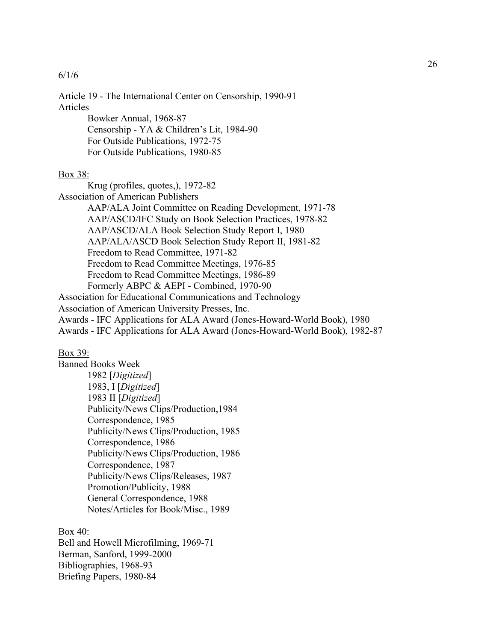Article 19 - The International Center on Censorship, 1990-91 Articles

Bowker Annual, 1968-87 Censorship - YA & Children's Lit, 1984-90 For Outside Publications, 1972-75 For Outside Publications, 1980-85

## Box 38:

Krug (profiles, quotes,), 1972-82 Association of American Publishers AAP/ALA Joint Committee on Reading Development, 1971-78 AAP/ASCD/IFC Study on Book Selection Practices, 1978-82 AAP/ASCD/ALA Book Selection Study Report I, 1980 AAP/ALA/ASCD Book Selection Study Report II, 1981-82 Freedom to Read Committee, 1971-82 Freedom to Read Committee Meetings, 1976-85 Freedom to Read Committee Meetings, 1986-89 Formerly ABPC & AEPI - Combined, 1970-90 Association for Educational Communications and Technology Association of American University Presses, Inc. Awards - IFC Applications for ALA Award (Jones-Howard-World Book), 1980

Awards - IFC Applications for ALA Award (Jones-Howard-World Book), 1982-87

#### Box 39:

Banned Books Week 1982 [*Digitized*] 1983, I [*Digitized*] 1983 II [*Digitized*] Publicity/News Clips/Production,1984 Correspondence, 1985 Publicity/News Clips/Production, 1985 Correspondence, 1986 Publicity/News Clips/Production, 1986 Correspondence, 1987 Publicity/News Clips/Releases, 1987 Promotion/Publicity, 1988 General Correspondence, 1988 Notes/Articles for Book/Misc., 1989

Box 40:

Bell and Howell Microfilming, 1969-71 Berman, Sanford, 1999-2000 Bibliographies, 1968-93 Briefing Papers, 1980-84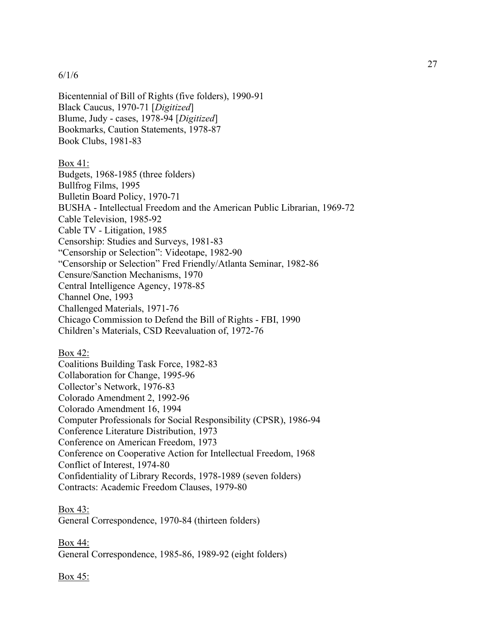Bicentennial of Bill of Rights (five folders), 1990-91 Black Caucus, 1970-71 [*Digitized*] Blume, Judy - cases, 1978-94 [*Digitized*] Bookmarks, Caution Statements, 1978-87 Book Clubs, 1981-83

## Box 41:

Budgets, 1968-1985 (three folders) Bullfrog Films, 1995 Bulletin Board Policy, 1970-71 BUSHA - Intellectual Freedom and the American Public Librarian, 1969-72 Cable Television, 1985-92 Cable TV - Litigation, 1985 Censorship: Studies and Surveys, 1981-83 "Censorship or Selection": Videotape, 1982-90 "Censorship or Selection" Fred Friendly/Atlanta Seminar, 1982-86 Censure/Sanction Mechanisms, 1970 Central Intelligence Agency, 1978-85 Channel One, 1993 Challenged Materials, 1971-76 Chicago Commission to Defend the Bill of Rights - FBI, 1990 Children's Materials, CSD Reevaluation of, 1972-76

## Box 42:

Coalitions Building Task Force, 1982-83 Collaboration for Change, 1995-96 Collector's Network, 1976-83 Colorado Amendment 2, 1992-96 Colorado Amendment 16, 1994 Computer Professionals for Social Responsibility (CPSR), 1986-94 Conference Literature Distribution, 1973 Conference on American Freedom, 1973 Conference on Cooperative Action for Intellectual Freedom, 1968 Conflict of Interest, 1974-80 Confidentiality of Library Records, 1978-1989 (seven folders) Contracts: Academic Freedom Clauses, 1979-80

# Box 43:

General Correspondence, 1970-84 (thirteen folders)

Box 44: General Correspondence, 1985-86, 1989-92 (eight folders)

## Box 45: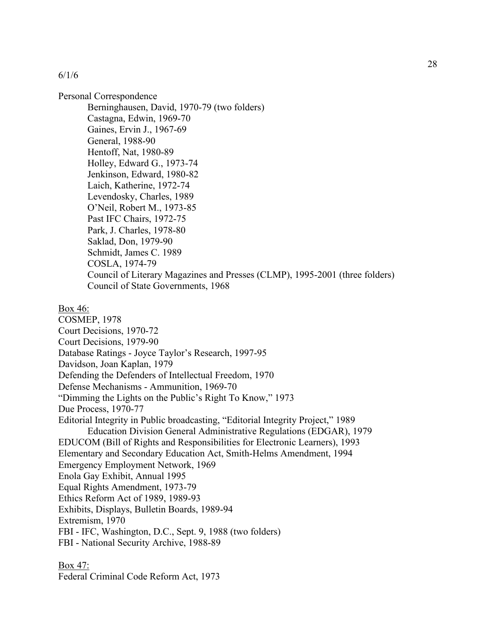Personal Correspondence Berninghausen, David, 1970-79 (two folders) Castagna, Edwin, 1969-70 Gaines, Ervin J., 1967-69 General, 1988-90 Hentoff, Nat, 1980-89 Holley, Edward G., 1973-74 Jenkinson, Edward, 1980-82 Laich, Katherine, 1972-74 Levendosky, Charles, 1989 O'Neil, Robert M., 1973-85 Past IFC Chairs, 1972-75 Park, J. Charles, 1978-80 Saklad, Don, 1979-90 Schmidt, James C. 1989 COSLA, 1974-79 Council of Literary Magazines and Presses (CLMP), 1995-2001 (three folders) Council of State Governments, 1968 Box 46: COSMEP, 1978 Court Decisions, 1970-72 Court Decisions, 1979-90 Database Ratings - Joyce Taylor's Research, 1997-95 Davidson, Joan Kaplan, 1979 Defending the Defenders of Intellectual Freedom, 1970 Defense Mechanisms - Ammunition, 1969-70 "Dimming the Lights on the Public's Right To Know," 1973 Due Process, 1970-77 Editorial Integrity in Public broadcasting, "Editorial Integrity Project," 1989 Education Division General Administrative Regulations (EDGAR), 1979 EDUCOM (Bill of Rights and Responsibilities for Electronic Learners), 1993 Elementary and Secondary Education Act, Smith-Helms Amendment, 1994 Emergency Employment Network, 1969 Enola Gay Exhibit, Annual 1995 Equal Rights Amendment, 1973-79 Ethics Reform Act of 1989, 1989-93 Exhibits, Displays, Bulletin Boards, 1989-94 Extremism, 1970 FBI - IFC, Washington, D.C., Sept. 9, 1988 (two folders) FBI - National Security Archive, 1988-89

Box 47:

Federal Criminal Code Reform Act, 1973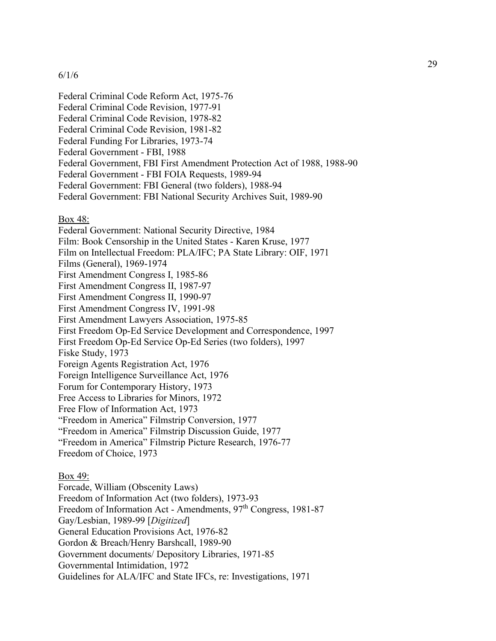Federal Criminal Code Reform Act, 1975-76 Federal Criminal Code Revision, 1977-91 Federal Criminal Code Revision, 1978-82 Federal Criminal Code Revision, 1981-82 Federal Funding For Libraries, 1973-74 Federal Government - FBI, 1988 Federal Government, FBI First Amendment Protection Act of 1988, 1988-90 Federal Government - FBI FOIA Requests, 1989-94 Federal Government: FBI General (two folders), 1988-94 Federal Government: FBI National Security Archives Suit, 1989-90 Box 48: Federal Government: National Security Directive, 1984 Film: Book Censorship in the United States - Karen Kruse, 1977 Film on Intellectual Freedom: PLA/IFC; PA State Library: OIF, 1971 Films (General), 1969-1974 First Amendment Congress I, 1985-86 First Amendment Congress II, 1987-97 First Amendment Congress II, 1990-97 First Amendment Congress IV, 1991-98 First Amendment Lawyers Association, 1975-85 First Freedom Op-Ed Service Development and Correspondence, 1997 First Freedom Op-Ed Service Op-Ed Series (two folders), 1997 Fiske Study, 1973 Foreign Agents Registration Act, 1976 Foreign Intelligence Surveillance Act, 1976 Forum for Contemporary History, 1973 Free Access to Libraries for Minors, 1972 Free Flow of Information Act, 1973 "Freedom in America" Filmstrip Conversion, 1977 "Freedom in America" Filmstrip Discussion Guide, 1977

"Freedom in America" Filmstrip Picture Research, 1976-77

Freedom of Choice, 1973

## Box 49:

Forcade, William (Obscenity Laws) Freedom of Information Act (two folders), 1973-93 Freedom of Information Act - Amendments, 97<sup>th</sup> Congress, 1981-87 Gay/Lesbian, 1989-99 [*Digitized*] General Education Provisions Act, 1976-82 Gordon & Breach/Henry Barshcall, 1989-90 Government documents/ Depository Libraries, 1971-85 Governmental Intimidation, 1972 Guidelines for ALA/IFC and State IFCs, re: Investigations, 1971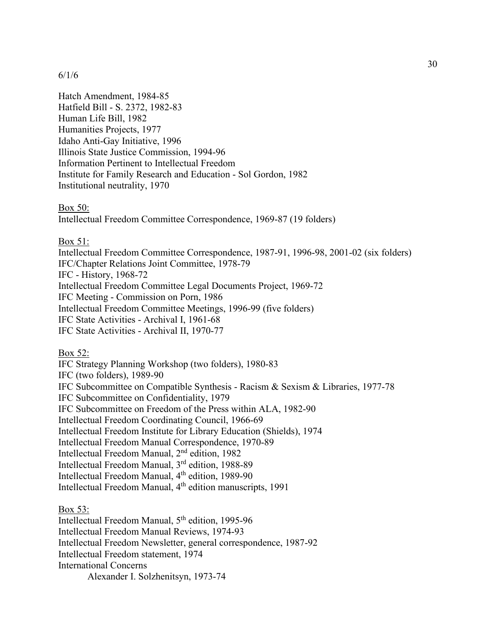Hatch Amendment, 1984-85 Hatfield Bill - S. 2372, 1982-83 Human Life Bill, 1982 Humanities Projects, 1977 Idaho Anti-Gay Initiative, 1996 Illinois State Justice Commission, 1994-96 Information Pertinent to Intellectual Freedom Institute for Family Research and Education - Sol Gordon, 1982 Institutional neutrality, 1970

Box 50:

Intellectual Freedom Committee Correspondence, 1969-87 (19 folders)

Box 51:

Intellectual Freedom Committee Correspondence, 1987-91, 1996-98, 2001-02 (six folders) IFC/Chapter Relations Joint Committee, 1978-79

IFC - History, 1968-72

Intellectual Freedom Committee Legal Documents Project, 1969-72

IFC Meeting - Commission on Porn, 1986

Intellectual Freedom Committee Meetings, 1996-99 (five folders)

IFC State Activities - Archival I, 1961-68

IFC State Activities - Archival II, 1970-77

Box 52:

IFC Strategy Planning Workshop (two folders), 1980-83 IFC (two folders), 1989-90 IFC Subcommittee on Compatible Synthesis - Racism & Sexism & Libraries, 1977-78 IFC Subcommittee on Confidentiality, 1979 IFC Subcommittee on Freedom of the Press within ALA, 1982-90 Intellectual Freedom Coordinating Council, 1966-69 Intellectual Freedom Institute for Library Education (Shields), 1974 Intellectual Freedom Manual Correspondence, 1970-89 Intellectual Freedom Manual, 2nd edition, 1982 Intellectual Freedom Manual, 3rd edition, 1988-89 Intellectual Freedom Manual, 4<sup>th</sup> edition, 1989-90 Intellectual Freedom Manual, 4<sup>th</sup> edition manuscripts, 1991

Box 53:

Intellectual Freedom Manual, 5<sup>th</sup> edition, 1995-96 Intellectual Freedom Manual Reviews, 1974-93 Intellectual Freedom Newsletter, general correspondence, 1987-92 Intellectual Freedom statement, 1974 International Concerns Alexander I. Solzhenitsyn, 1973-74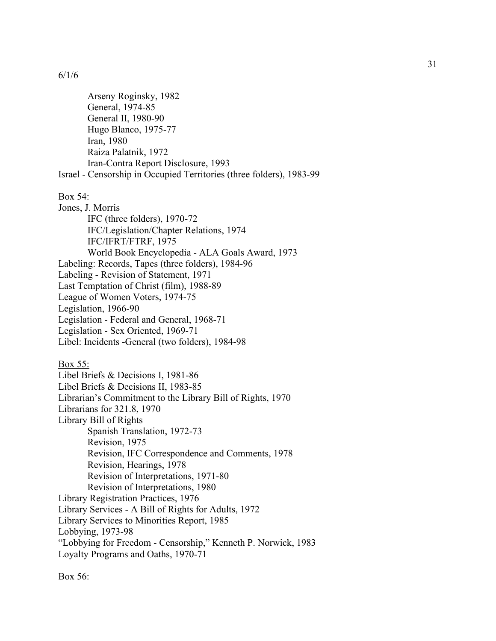Arseny Roginsky, 1982 General, 1974-85 General II, 1980-90 Hugo Blanco, 1975-77 Iran, 1980 Raiza Palatnik, 1972 Iran-Contra Report Disclosure, 1993 Israel - Censorship in Occupied Territories (three folders), 1983-99 Box 54: Jones, J. Morris IFC (three folders), 1970-72 IFC/Legislation/Chapter Relations, 1974 IFC/IFRT/FTRF, 1975 World Book Encyclopedia - ALA Goals Award, 1973 Labeling: Records, Tapes (three folders), 1984-96 Labeling - Revision of Statement, 1971 Last Temptation of Christ (film), 1988-89 League of Women Voters, 1974-75 Legislation, 1966-90 Legislation - Federal and General, 1968-71 Legislation - Sex Oriented, 1969-71 Libel: Incidents -General (two folders), 1984-98 Box 55: Libel Briefs & Decisions I, 1981-86 Libel Briefs & Decisions II, 1983-85 Librarian's Commitment to the Library Bill of Rights, 1970 Librarians for 321.8, 1970 Library Bill of Rights Spanish Translation, 1972-73 Revision, 1975 Revision, IFC Correspondence and Comments, 1978 Revision, Hearings, 1978 Revision of Interpretations, 1971-80 Revision of Interpretations, 1980 Library Registration Practices, 1976 Library Services - A Bill of Rights for Adults, 1972

Library Services to Minorities Report, 1985

Lobbying, 1973-98

"Lobbying for Freedom - Censorship," Kenneth P. Norwick, 1983 Loyalty Programs and Oaths, 1970-71

Box 56: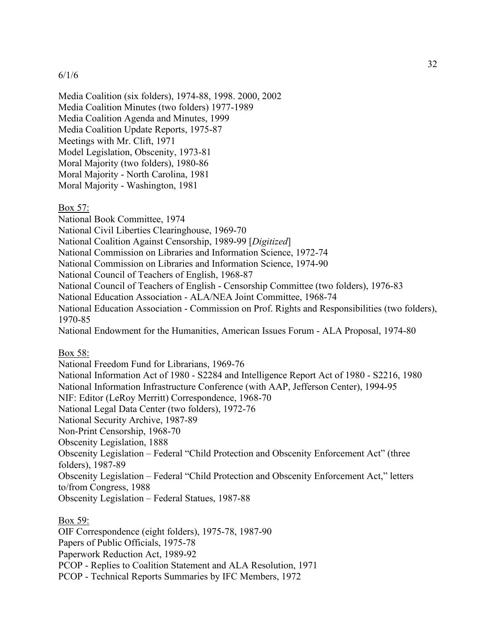Media Coalition (six folders), 1974-88, 1998. 2000, 2002 Media Coalition Minutes (two folders) 1977-1989 Media Coalition Agenda and Minutes, 1999 Media Coalition Update Reports, 1975-87 Meetings with Mr. Clift, 1971 Model Legislation, Obscenity, 1973-81 Moral Majority (two folders), 1980-86 Moral Majority - North Carolina, 1981 Moral Majority - Washington, 1981

Box 57:

National Book Committee, 1974

National Civil Liberties Clearinghouse, 1969-70

National Coalition Against Censorship, 1989-99 [*Digitized*]

National Commission on Libraries and Information Science, 1972-74

National Commission on Libraries and Information Science, 1974-90

National Council of Teachers of English, 1968-87

National Council of Teachers of English - Censorship Committee (two folders), 1976-83

National Education Association - ALA/NEA Joint Committee, 1968-74

National Education Association - Commission on Prof. Rights and Responsibilities (two folders), 1970-85

National Endowment for the Humanities, American Issues Forum - ALA Proposal, 1974-80

#### Box 58:

National Freedom Fund for Librarians, 1969-76 National Information Act of 1980 - S2284 and Intelligence Report Act of 1980 - S2216, 1980 National Information Infrastructure Conference (with AAP, Jefferson Center), 1994-95 NIF: Editor (LeRoy Merritt) Correspondence, 1968-70 National Legal Data Center (two folders), 1972-76 National Security Archive, 1987-89 Non-Print Censorship, 1968-70 Obscenity Legislation, 1888 Obscenity Legislation – Federal "Child Protection and Obscenity Enforcement Act" (three folders), 1987-89 Obscenity Legislation – Federal "Child Protection and Obscenity Enforcement Act," letters to/from Congress, 1988 Obscenity Legislation – Federal Statues, 1987-88

# Box 59:

OIF Correspondence (eight folders), 1975-78, 1987-90 Papers of Public Officials, 1975-78 Paperwork Reduction Act, 1989-92 PCOP - Replies to Coalition Statement and ALA Resolution, 1971 PCOP - Technical Reports Summaries by IFC Members, 1972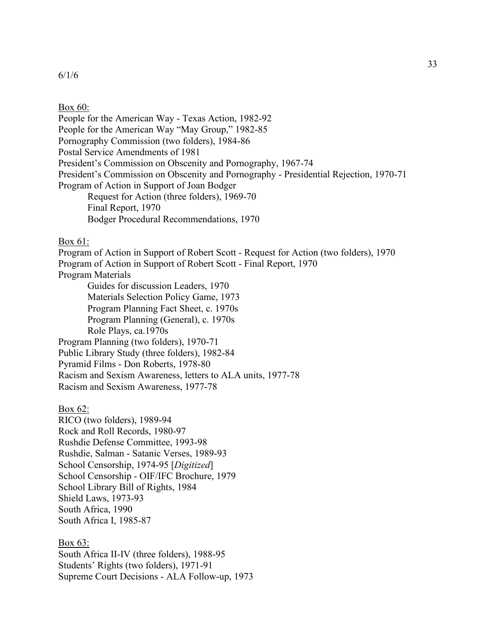#### Box 60:

People for the American Way - Texas Action, 1982-92 People for the American Way "May Group," 1982-85 Pornography Commission (two folders), 1984-86 Postal Service Amendments of 1981 President's Commission on Obscenity and Pornography, 1967-74 President's Commission on Obscenity and Pornography - Presidential Rejection, 1970-71 Program of Action in Support of Joan Bodger Request for Action (three folders), 1969-70 Final Report, 1970 Bodger Procedural Recommendations, 1970

## Box 61:

Program of Action in Support of Robert Scott - Request for Action (two folders), 1970 Program of Action in Support of Robert Scott - Final Report, 1970 Program Materials Guides for discussion Leaders, 1970 Materials Selection Policy Game, 1973 Program Planning Fact Sheet, c. 1970s Program Planning (General), c. 1970s Role Plays, ca.1970s Program Planning (two folders), 1970-71 Public Library Study (three folders), 1982-84 Pyramid Films - Don Roberts, 1978-80 Racism and Sexism Awareness, letters to ALA units, 1977-78 Racism and Sexism Awareness, 1977-78

## Box 62:

RICO (two folders), 1989-94 Rock and Roll Records, 1980-97 Rushdie Defense Committee, 1993-98 Rushdie, Salman - Satanic Verses, 1989-93 School Censorship, 1974-95 [*Digitized*] School Censorship - OIF/IFC Brochure, 1979 School Library Bill of Rights, 1984 Shield Laws, 1973-93 South Africa, 1990 South Africa I, 1985-87

#### Box 63:

South Africa II-IV (three folders), 1988-95 Students' Rights (two folders), 1971-91 Supreme Court Decisions - ALA Follow-up, 1973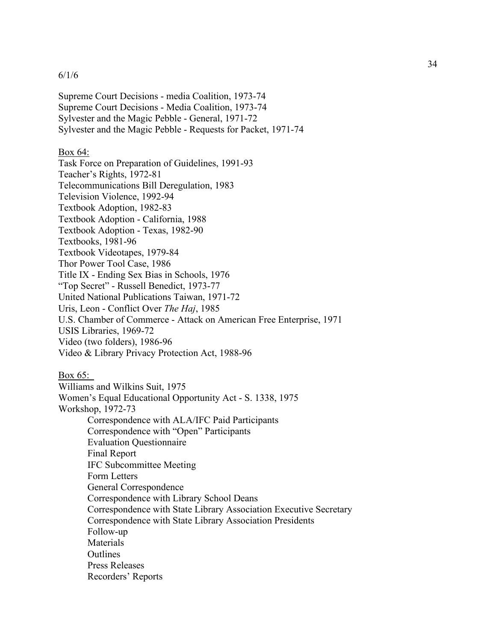Supreme Court Decisions - media Coalition, 1973-74 Supreme Court Decisions - Media Coalition, 1973-74 Sylvester and the Magic Pebble - General, 1971-72 Sylvester and the Magic Pebble - Requests for Packet, 1971-74

## Box 64:

Task Force on Preparation of Guidelines, 1991-93 Teacher's Rights, 1972-81 Telecommunications Bill Deregulation, 1983 Television Violence, 1992-94 Textbook Adoption, 1982-83 Textbook Adoption - California, 1988 Textbook Adoption - Texas, 1982-90 Textbooks, 1981-96 Textbook Videotapes, 1979-84 Thor Power Tool Case, 1986 Title IX - Ending Sex Bias in Schools, 1976 "Top Secret" - Russell Benedict, 1973-77 United National Publications Taiwan, 1971-72 Uris, Leon - Conflict Over *The Haj*, 1985 U.S. Chamber of Commerce - Attack on American Free Enterprise, 1971 USIS Libraries, 1969-72 Video (two folders), 1986-96 Video & Library Privacy Protection Act, 1988-96

Box 65:

Williams and Wilkins Suit, 1975 Women's Equal Educational Opportunity Act - S. 1338, 1975 Workshop, 1972-73 Correspondence with ALA/IFC Paid Participants Correspondence with "Open" Participants Evaluation Questionnaire Final Report IFC Subcommittee Meeting Form Letters General Correspondence Correspondence with Library School Deans Correspondence with State Library Association Executive Secretary Correspondence with State Library Association Presidents Follow-up **Materials Outlines** Press Releases Recorders' Reports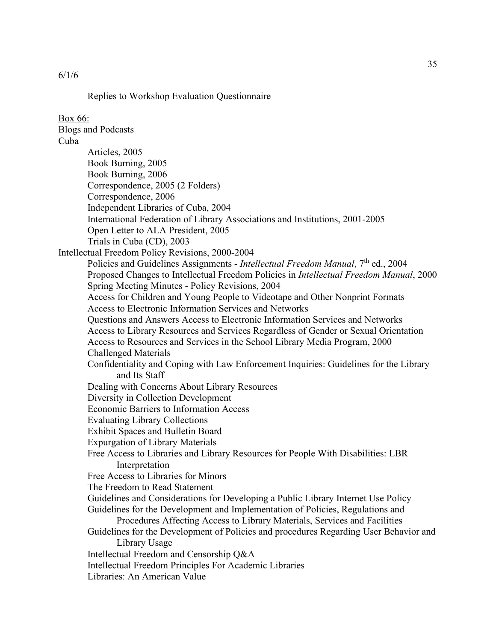```
6/1/6
```
Replies to Workshop Evaluation Questionnaire

Box 66: Blogs and Podcasts Cuba Articles, 2005 Book Burning, 2005 Book Burning, 2006 Correspondence, 2005 (2 Folders) Correspondence, 2006 Independent Libraries of Cuba, 2004 International Federation of Library Associations and Institutions, 2001-2005 Open Letter to ALA President, 2005 Trials in Cuba (CD), 2003 Intellectual Freedom Policy Revisions, 2000-2004 Policies and Guidelines Assignments - *Intellectual Freedom Manual*, 7th ed., 2004 Proposed Changes to Intellectual Freedom Policies in *Intellectual Freedom Manual*, 2000 Spring Meeting Minutes - Policy Revisions, 2004 Access for Children and Young People to Videotape and Other Nonprint Formats Access to Electronic Information Services and Networks Questions and Answers Access to Electronic Information Services and Networks Access to Library Resources and Services Regardless of Gender or Sexual Orientation Access to Resources and Services in the School Library Media Program, 2000 Challenged Materials Confidentiality and Coping with Law Enforcement Inquiries: Guidelines for the Library and Its Staff Dealing with Concerns About Library Resources Diversity in Collection Development Economic Barriers to Information Access Evaluating Library Collections Exhibit Spaces and Bulletin Board Expurgation of Library Materials Free Access to Libraries and Library Resources for People With Disabilities: LBR Interpretation Free Access to Libraries for Minors The Freedom to Read Statement Guidelines and Considerations for Developing a Public Library Internet Use Policy Guidelines for the Development and Implementation of Policies, Regulations and Procedures Affecting Access to Library Materials, Services and Facilities Guidelines for the Development of Policies and procedures Regarding User Behavior and Library Usage Intellectual Freedom and Censorship Q&A Intellectual Freedom Principles For Academic Libraries Libraries: An American Value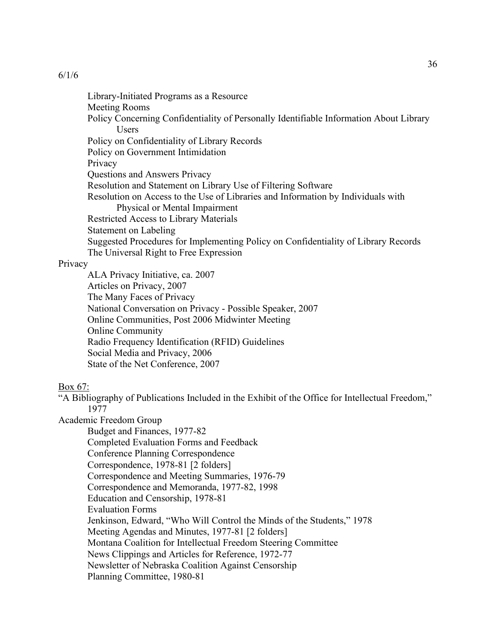Library-Initiated Programs as a Resource Meeting Rooms Policy Concerning Confidentiality of Personally Identifiable Information About Library Users Policy on Confidentiality of Library Records Policy on Government Intimidation Privacy Questions and Answers Privacy Resolution and Statement on Library Use of Filtering Software Resolution on Access to the Use of Libraries and Information by Individuals with Physical or Mental Impairment Restricted Access to Library Materials Statement on Labeling Suggested Procedures for Implementing Policy on Confidentiality of Library Records The Universal Right to Free Expression

## Privacy

ALA Privacy Initiative, ca. 2007 Articles on Privacy, 2007 The Many Faces of Privacy National Conversation on Privacy - Possible Speaker, 2007 Online Communities, Post 2006 Midwinter Meeting Online Community Radio Frequency Identification (RFID) Guidelines Social Media and Privacy, 2006 State of the Net Conference, 2007

## Box 67:

"A Bibliography of Publications Included in the Exhibit of the Office for Intellectual Freedom," 1977

Academic Freedom Group

Budget and Finances, 1977-82 Completed Evaluation Forms and Feedback Conference Planning Correspondence Correspondence, 1978-81 [2 folders] Correspondence and Meeting Summaries, 1976-79 Correspondence and Memoranda, 1977-82, 1998 Education and Censorship, 1978-81 Evaluation Forms Jenkinson, Edward, "Who Will Control the Minds of the Students," 1978 Meeting Agendas and Minutes, 1977-81 [2 folders] Montana Coalition for Intellectual Freedom Steering Committee News Clippings and Articles for Reference, 1972-77 Newsletter of Nebraska Coalition Against Censorship Planning Committee, 1980-81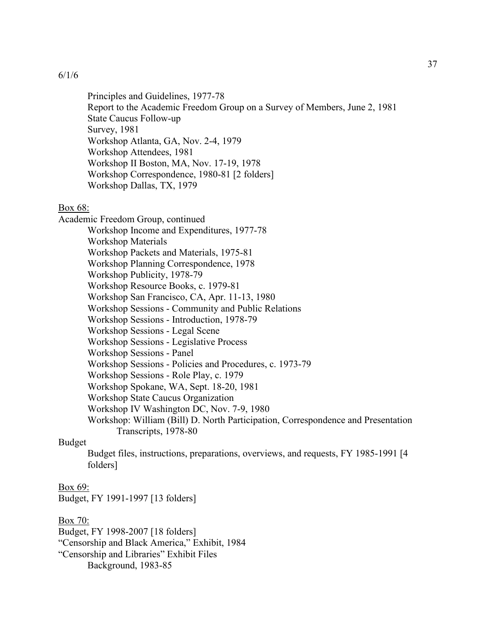Principles and Guidelines, 1977-78 Report to the Academic Freedom Group on a Survey of Members, June 2, 1981 State Caucus Follow-up Survey, 1981 Workshop Atlanta, GA, Nov. 2-4, 1979 Workshop Attendees, 1981 Workshop II Boston, MA, Nov. 17-19, 1978 Workshop Correspondence, 1980-81 [2 folders] Workshop Dallas, TX, 1979

### Box 68:

Academic Freedom Group, continued Workshop Income and Expenditures, 1977-78 Workshop Materials Workshop Packets and Materials, 1975-81 Workshop Planning Correspondence, 1978 Workshop Publicity, 1978-79 Workshop Resource Books, c. 1979-81 Workshop San Francisco, CA, Apr. 11-13, 1980 Workshop Sessions - Community and Public Relations Workshop Sessions - Introduction, 1978-79 Workshop Sessions - Legal Scene Workshop Sessions - Legislative Process Workshop Sessions - Panel Workshop Sessions - Policies and Procedures, c. 1973-79 Workshop Sessions - Role Play, c. 1979 Workshop Spokane, WA, Sept. 18-20, 1981 Workshop State Caucus Organization Workshop IV Washington DC, Nov. 7-9, 1980 Workshop: William (Bill) D. North Participation, Correspondence and Presentation Transcripts, 1978-80

## Budget

Budget files, instructions, preparations, overviews, and requests, FY 1985-1991 [4 folders]

#### Box 69:

Budget, FY 1991-1997 [13 folders]

# Box 70:

Budget, FY 1998-2007 [18 folders] "Censorship and Black America," Exhibit, 1984 "Censorship and Libraries" Exhibit Files Background, 1983-85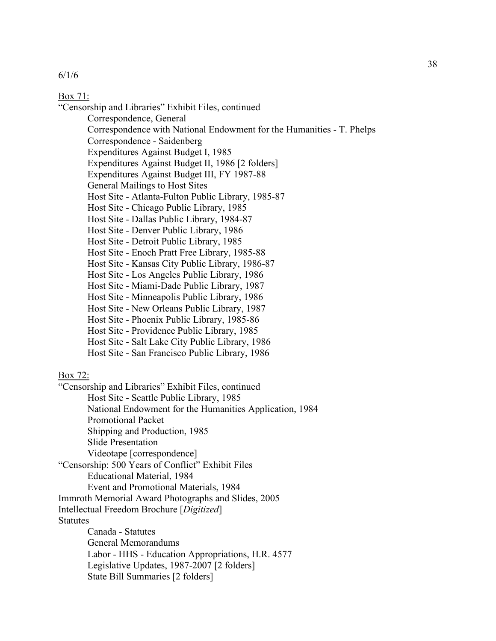### Box 71:

"Censorship and Libraries" Exhibit Files, continued

Correspondence, General

Correspondence with National Endowment for the Humanities - T. Phelps

Correspondence - Saidenberg

Expenditures Against Budget I, 1985

Expenditures Against Budget II, 1986 [2 folders]

Expenditures Against Budget III, FY 1987-88

General Mailings to Host Sites

Host Site - Atlanta-Fulton Public Library, 1985-87

Host Site - Chicago Public Library, 1985

Host Site - Dallas Public Library, 1984-87

Host Site - Denver Public Library, 1986

Host Site - Detroit Public Library, 1985

Host Site - Enoch Pratt Free Library, 1985-88

Host Site - Kansas City Public Library, 1986-87

Host Site - Los Angeles Public Library, 1986

Host Site - Miami-Dade Public Library, 1987

Host Site - Minneapolis Public Library, 1986

Host Site - New Orleans Public Library, 1987

Host Site - Phoenix Public Library, 1985-86

Host Site - Providence Public Library, 1985

Host Site - Salt Lake City Public Library, 1986

Host Site - San Francisco Public Library, 1986

# Box 72:

"Censorship and Libraries" Exhibit Files, continued Host Site - Seattle Public Library, 1985 National Endowment for the Humanities Application, 1984 Promotional Packet Shipping and Production, 1985 Slide Presentation Videotape [correspondence] "Censorship: 500 Years of Conflict" Exhibit Files Educational Material, 1984 Event and Promotional Materials, 1984 Immroth Memorial Award Photographs and Slides, 2005 Intellectual Freedom Brochure [*Digitized*] Statutes Canada - Statutes General Memorandums Labor - HHS - Education Appropriations, H.R. 4577 Legislative Updates, 1987-2007 [2 folders] State Bill Summaries [2 folders]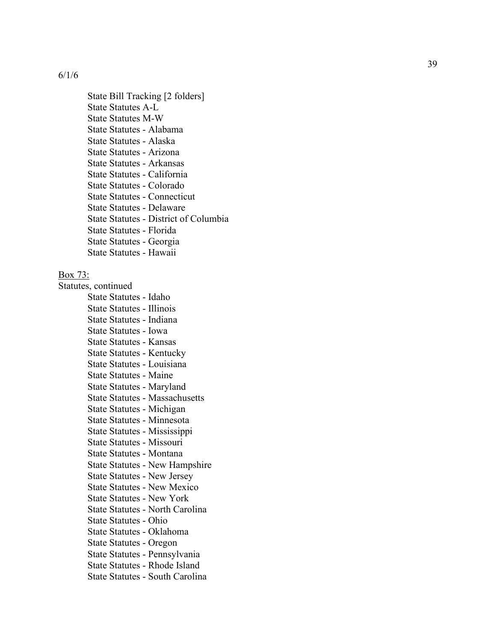State Bill Tracking [2 folders] State Statutes A - L State Statutes M - W State Statutes - Alabama State Statutes - Alaska State Statutes - Arizona State Statutes - Arkansas State Statutes - California State Statutes - Colorado State Statutes - Connecticut State Statutes - Delaware State Statutes - District of Columbia State Statutes - Florida State Statutes - Georgia State Statutes - Hawaii

### Box 73:

Statutes, continued State Statutes - Idaho State Statutes - Illinois State Statutes - Indiana State Statutes - Iowa State Statutes - Kansas State Statutes - Kentucky State Statutes - Louisiana State Statutes - Maine State Statutes - Maryland State Statutes - Massachusetts State Statutes - Michigan State Statutes - Minnesota State Statutes - Mississippi State Statutes - Missouri State Statutes - Montana State Statutes - New Hampshire State Statutes - New Jersey State Statutes - New Mexico State Statutes - New York State Statutes - North Carolina State Statutes - Ohio State Statutes - Oklahoma State Statutes - Oregon State Statutes - Pennsylvania State Statutes - Rhode Island State Statutes - South Carolina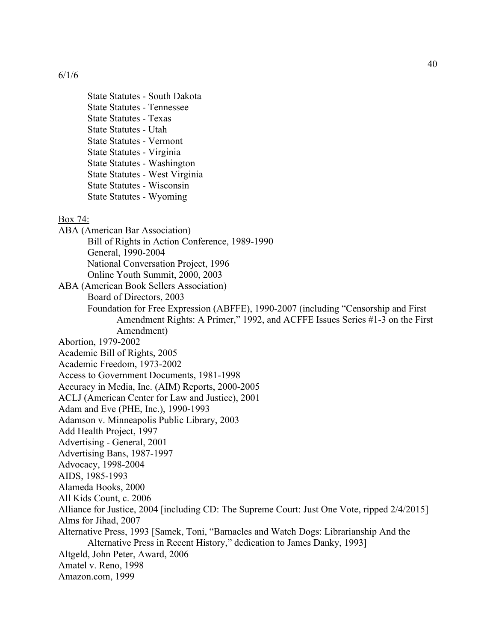State Statutes - South Dakota State Statutes - Tennessee State Statutes - Texas State Statutes - Utah State Statutes - Vermont State Statutes - Virginia State Statutes - Washington State Statutes - West Virginia State Statutes - Wisconsin State Statutes - Wyoming

#### Box 74:

ABA (American Bar Association) Bill of Rights in Action Conference, 1989-1990 General, 1990-2004 National Conversation Project, 1996 Online Youth Summit, 2000, 2003 ABA (American Book Sellers Association) Board of Directors, 2003 Foundation for Free Expression (ABFFE), 1990-2007 (including "Censorship and First Amendment Rights: A Primer," 1992, and ACFFE Issues Series #1-3 on the First Amendment) Abortion, 1979-2002 Academic Bill of Rights, 2005 Academic Freedom, 1973-2002 Access to Government Documents, 1981-1998 Accuracy in Media, Inc. (AIM) Reports, 2000-2005 ACLJ (American Center for Law and Justice), 2001 Adam and Eve (PHE, Inc.), 1990-1993 Adamson v. Minneapolis Public Library, 2003 Add Health Project, 1997 Advertising - General, 2001 Advertising Bans, 1987-1997 Advocacy, 1998-2004 AIDS, 1985-1993 Alameda Books, 2000 All Kids Count, c. 2006 Alliance for Justice, 2004 [including CD: The Supreme Court: Just One Vote, ripped 2/4/2015] Alms for Jihad, 2007 Alternative Press, 1993 [Samek, Toni, "Barnacles and Watch Dogs: Librarianship And the Alternative Press in Recent History," dedication to James Danky, 1993] Altgeld, John Peter, Award, 2006 Amatel v. Reno, 1998 Amazon.com, 1999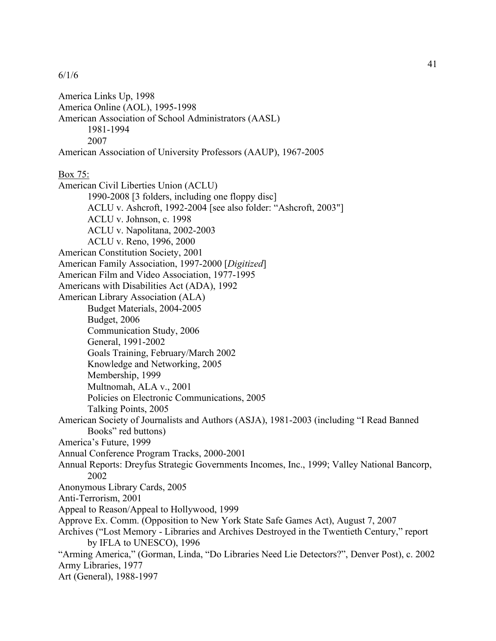America Links Up, 1998 America Online (AOL), 1995-1998 American Association of School Administrators (AASL) 1981-1994 2007 American Association of University Professors (AAUP), 1967-2005 Box 75: American Civil Liberties Union (ACLU) 1990-2008 [3 folders, including one floppy disc] ACLU v. Ashcroft, 1992-2004 [see also folder: "Ashcroft, 2003"] ACLU v. Johnson, c. 1998 ACLU v. Napolitana, 2002-2003 ACLU v. Reno, 1996, 2000 American Constitution Society, 2001 American Family Association, 1997-2000 [*Digitized*] American Film and Video Association, 1977-1995 Americans with Disabilities Act (ADA), 1992 American Library Association (ALA) Budget Materials, 2004-2005 Budget, 2006 Communication Study, 2006 General, 1991-2002 Goals Training, February/March 2002 Knowledge and Networking, 2005 Membership, 1999 Multnomah, ALA v., 2001 Policies on Electronic Communications, 2005 Talking Points, 2005 American Society of Journalists and Authors (ASJA), 1981-2003 (including "I Read Banned Books" red buttons) America's Future, 1999 Annual Conference Program Tracks, 2000-2001 Annual Reports: Dreyfus Strategic Governments Incomes, Inc., 1999; Valley National Bancorp, 2002 Anonymous Library Cards, 2005 Anti-Terrorism, 2001 Appeal to Reason/Appeal to Hollywood, 1999 Approve Ex. Comm. (Opposition to New York State Safe Games Act), August 7, 2007 Archives ("Lost Memory - Libraries and Archives Destroyed in the Twentieth Century," report by IFLA to UNESCO), 1996 "Arming America," (Gorman, Linda, "Do Libraries Need Lie Detectors?", Denver Post), c. 2002 Army Libraries, 1977 Art (General), 1988-1997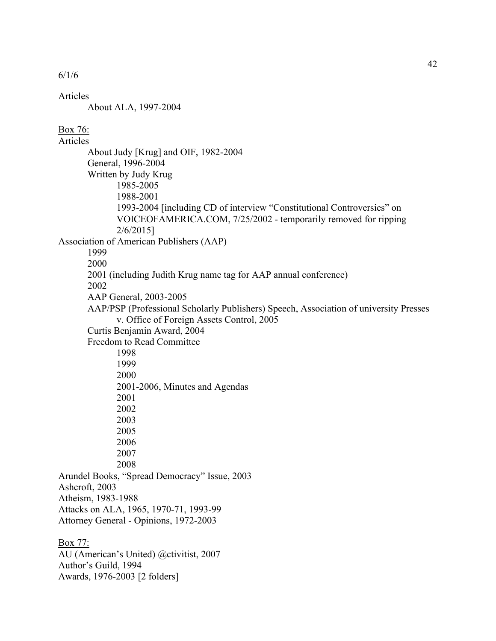Articles

About ALA, 1997-2004

Awards, 1976-2003 [2 folders]

## Box 76:

Articles About Judy [Krug] and OIF, 1982-2004 General, 1996-2004 Written by Judy Krug 1985-2005 1988-2001 1993-2004 [including CD of interview "Constitutional Controversies" on VOICEOFAMERICA.COM, 7/25/2002 - temporarily removed for ripping 2/6/2015] Association of American Publishers (AAP) 1999 2000 2001 (including Judith Krug name tag for AAP annual conference) 2002 AAP General, 2003-2005 AAP/PSP (Professional Scholarly Publishers) Speech, Association of university Presses v. Office of Foreign Assets Control, 2005 Curtis Benjamin Award, 2004 Freedom to Read Committee 1998 1999 2000 2001-2006, Minutes and Agendas 2001 2002 2003 2005 2006 2007 2008 Arundel Books, "Spread Democracy" Issue, 2003 Ashcroft, 2003 Atheism, 1983-1988 Attacks on ALA, 1965, 1970-71, 1993-99 Attorney General - Opinions, 1972-2003 Box 77: AU (American's United) @ctivitist, 2007 Author's Guild, 1994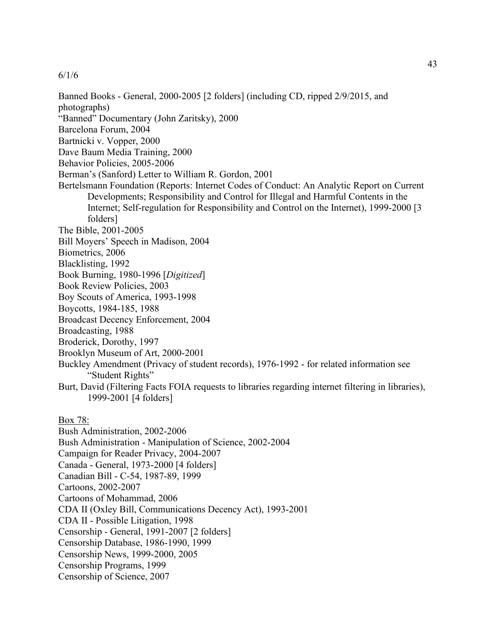Banned Books - General, 2000-2005 [2 folders] (including CD, ripped 2/9/2015, and photographs) "Banned" Documentary (John Zaritsky), 2000 Barcelona Forum, 2004 Bartnicki v. Vopper, 2000 Dave Baum Media Training, 2000 Behavior Policies, 2005-2006 Berman's (Sanford) Letter to William R. Gordon, 2001 Bertelsmann Foundation (Reports: Internet Codes of Conduct: An Analytic Report on Current Developments; Responsibility and Control for Illegal and Harmful Contents in the Internet; Self-regulation for Responsibility and Control on the Internet), 1999-2000 [3 folders] The Bible, 2001-2005 Bill Moyers' Speech in Madison, 2004 Biometrics, 2006 Blacklisting, 1992 Book Burning, 1980-1996 [*Digitized*] Book Review Policies, 2003 Boy Scouts of America, 1993-1998 Boycotts, 1984-185, 1988 Broadcast Decency Enforcement, 2004 Broadcasting, 1988 Broderick, Dorothy, 1997 Brooklyn Museum of Art, 2000-2001 Buckley Amendment (Privacy of student records), 1976-1992 - for related information see "Student Rights" Burt, David (Filtering Facts FOIA requests to libraries regarding internet filtering in libraries), 1999-2001 [4 folders] Box 78: Bush Administration, 2002-2006 Bush Administration - Manipulation of Science, 2002-2004 Campaign for Reader Privacy, 2004-2007 Canada - General, 1973-2000 [4 folders] Canadian Bill - C-54, 1987-89, 1999 Cartoons, 2002-2007 Cartoons of Mohammad, 2006

CDA II (Oxley Bill, Communications Decency Act), 1993-2001

CDA II - Possible Litigation, 1998

Censorship - General, 1991-2007 [2 folders]

Censorship Database, 1986-1990, 1999

Censorship News, 1999-2000, 2005

Censorship Programs, 1999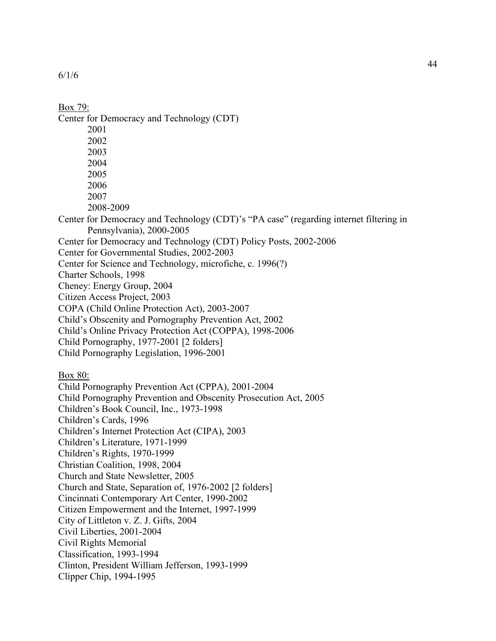Box 79: Center for Democracy and Technology (CDT) 2001 2002 2003 2004 2005 2006 2007 2008-2009 Center for Democracy and Technology (CDT)'s "PA case" (regarding internet filtering in Pennsylvania), 2000-2005 Center for Democracy and Technology (CDT) Policy Posts, 2002-2006 Center for Governmental Studies, 2002-2003 Center for Science and Technology, microfiche, c. 1996(?) Charter Schools, 1998 Cheney: Energy Group, 2004 Citizen Access Project, 2003 COPA (Child Online Protection Act), 2003-2007 Child's Obscenity and Pornography Prevention Act, 2002 Child's Online Privacy Protection Act (COPPA), 1998-2006 Child Pornography, 1977-2001 [2 folders] Child Pornography Legislation, 1996-2001 Box 80: Child Pornography Prevention Act (CPPA), 2001-2004 Child Pornography Prevention and Obscenity Prosecution Act, 2005 Children's Book Council, Inc., 1973-1998 Children's Cards, 1996 Children's Internet Protection Act (CIPA), 2003 Children's Literature, 1971-1999 Children's Rights, 1970-1999 Christian Coalition, 1998, 2004 Church and State Newsletter, 2005 Church and State, Separation of, 1976-2002 [2 folders] Cincinnati Contemporary Art Center, 1990-2002 Citizen Empowerment and the Internet, 1997-1999 City of Littleton v. Z. J. Gifts, 2004 Civil Liberties, 2001-2004 Civil Rights Memorial Classification, 1993-1994 Clinton, President William Jefferson, 1993-1999 Clipper Chip, 1994-1995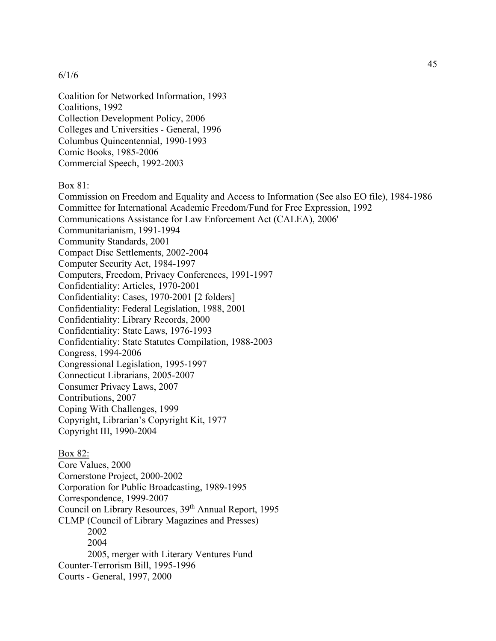Coalition for Networked Information, 1993 Coalitions, 1992 Collection Development Policy, 2006 Colleges and Universities - General, 1996 Columbus Quincentennial, 1990-1993 Comic Books, 1985-2006 Commercial Speech, 1992-2003

Box 81:

Commission on Freedom and Equality and Access to Information (See also EO file), 1984-1986 Committee for International Academic Freedom/Fund for Free Expression, 1992 Communications Assistance for Law Enforcement Act (CALEA), 2006' Communitarianism, 1991-1994 Community Standards, 2001 Compact Disc Settlements, 2002-2004 Computer Security Act, 1984-1997 Computers, Freedom, Privacy Conferences, 1991-1997 Confidentiality: Articles, 1970-2001 Confidentiality: Cases, 1970-2001 [2 folders] Confidentiality: Federal Legislation, 1988, 2001 Confidentiality: Library Records, 2000 Confidentiality: State Laws, 1976-1993 Confidentiality: State Statutes Compilation, 1988-2003 Congress, 1994-2006 Congressional Legislation, 1995-1997 Connecticut Librarians, 2005-2007 Consumer Privacy Laws, 2007 Contributions, 2007 Coping With Challenges, 1999 Copyright, Librarian's Copyright Kit, 1977 Copyright III, 1990-2004 Box 82:

Core Values, 2000 Cornerstone Project, 2000-2002 Corporation for Public Broadcasting, 1989-1995 Correspondence, 1999-2007 Council on Library Resources, 39<sup>th</sup> Annual Report, 1995 CLMP (Council of Library Magazines and Presses) 2002 2004 2005, merger with Literary Ventures Fund Counter-Terrorism Bill, 1995-1996 Courts - General, 1997, 2000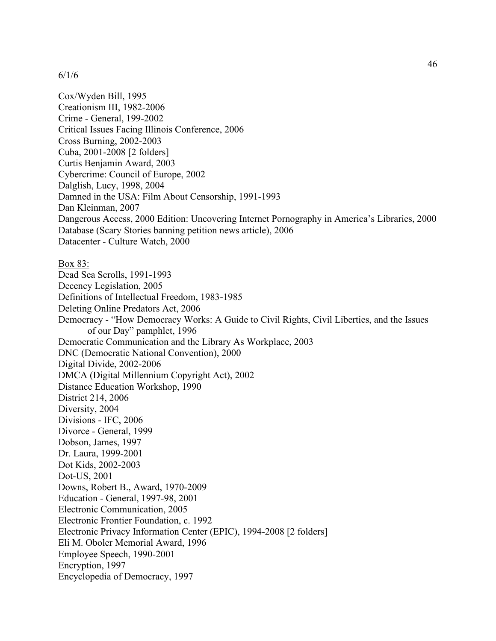Cox/Wyden Bill, 1995 Creationism III, 1982-2006 Crime - General, 199-2002 Critical Issues Facing Illinois Conference, 2006 Cross Burning, 2002-2003 Cuba, 2001-2008 [2 folders] Curtis Benjamin Award, 2003 Cybercrime: Council of Europe, 2002 Dalglish, Lucy, 1998, 2004 Damned in the USA: Film About Censorship, 1991-1993 Dan Kleinman, 2007 Dangerous Access, 2000 Edition: Uncovering Internet Pornography in America's Libraries, 2000 Database (Scary Stories banning petition news article), 2006 Datacenter - Culture Watch, 2000 Box 83: Dead Sea Scrolls, 1991-1993 Decency Legislation, 2005 Definitions of Intellectual Freedom, 1983-1985 Deleting Online Predators Act, 2006 Democracy - "How Democracy Works: A Guide to Civil Rights, Civil Liberties, and the Issues of our Day" pamphlet, 1996 Democratic Communication and the Library As Workplace, 2003 DNC (Democratic National Convention), 2000 Digital Divide, 2002-2006 DMCA (Digital Millennium Copyright Act), 2002 Distance Education Workshop, 1990 District 214, 2006 Diversity, 2004 Divisions - IFC, 2006 Divorce - General, 1999 Dobson, James, 1997 Dr. Laura, 1999-2001 Dot Kids, 2002-2003 Dot-US, 2001 Downs, Robert B., Award, 1970-2009 Education - General, 1997-98, 2001 Electronic Communication, 2005 Electronic Frontier Foundation, c. 1992 Electronic Privacy Information Center (EPIC), 1994-2008 [2 folders] Eli M. Oboler Memorial Award, 1996 Employee Speech, 1990-2001 Encryption, 1997 Encyclopedia of Democracy, 1997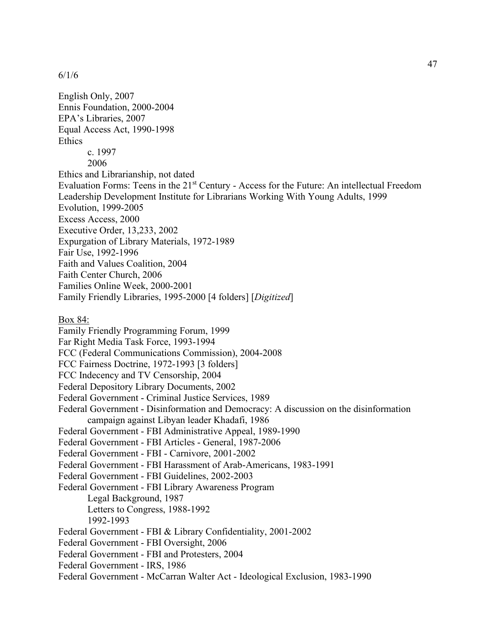English Only, 2007 Ennis Foundation, 2000-2004 EPA's Libraries, 2007 Equal Access Act, 1990-1998 Ethics c. 1997 2006 Ethics and Librarianship, not dated Evaluation Forms: Teens in the 21<sup>st</sup> Century - Access for the Future: An intellectual Freedom Leadership Development Institute for Librarians Working With Young Adults, 1999 Evolution, 1999-2005 Excess Access, 2000 Executive Order, 13,233, 2002 Expurgation of Library Materials, 1972-1989 Fair Use, 1992-1996 Faith and Values Coalition, 2004 Faith Center Church, 2006 Families Online Week, 2000-2001 Family Friendly Libraries, 1995-2000 [4 folders] [*Digitized*] Box 84: Family Friendly Programming Forum, 1999 Far Right Media Task Force, 1993-1994 FCC (Federal Communications Commission), 2004-2008 FCC Fairness Doctrine, 1972-1993 [3 folders] FCC Indecency and TV Censorship, 2004 Federal Depository Library Documents, 2002 Federal Government - Criminal Justice Services, 1989 Federal Government - Disinformation and Democracy: A discussion on the disinformation campaign against Libyan leader Khadafi, 1986 Federal Government - FBI Administrative Appeal, 1989-1990 Federal Government - FBI Articles - General, 1987-2006 Federal Government - FBI - Carnivore, 2001-2002 Federal Government - FBI Harassment of Arab-Americans, 1983-1991 Federal Government - FBI Guidelines, 2002-2003 Federal Government - FBI Library Awareness Program Legal Background, 1987 Letters to Congress, 1988-1992 1992-1993 Federal Government - FBI & Library Confidentiality, 2001-2002 Federal Government - FBI Oversight, 2006 Federal Government - FBI and Protesters, 2004 Federal Government - IRS, 1986 Federal Government - McCarran Walter Act - Ideological Exclusion, 1983-1990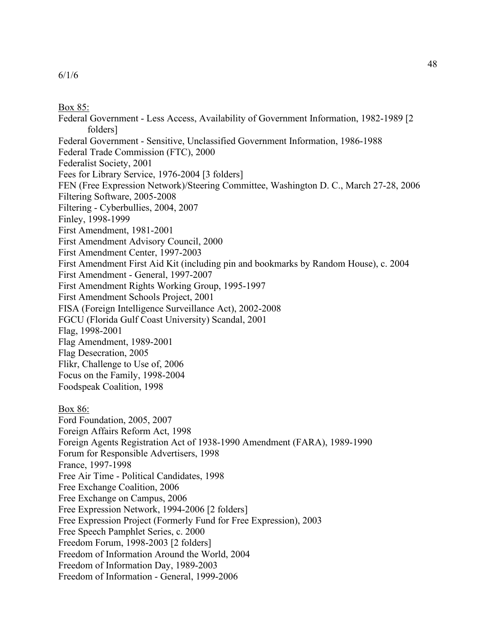## Box 85:

Federal Government - Less Access, Availability of Government Information, 1982-1989 [2 folders] Federal Government - Sensitive, Unclassified Government Information, 1986-1988 Federal Trade Commission (FTC), 2000 Federalist Society, 2001 Fees for Library Service, 1976-2004 [3 folders] FEN (Free Expression Network)/Steering Committee, Washington D. C., March 27-28, 2006 Filtering Software, 2005-2008 Filtering - Cyberbullies, 2004, 2007 Finley, 1998-1999 First Amendment, 1981-2001 First Amendment Advisory Council, 2000 First Amendment Center, 1997-2003 First Amendment First Aid Kit (including pin and bookmarks by Random House), c. 2004 First Amendment - General, 1997-2007 First Amendment Rights Working Group, 1995-1997 First Amendment Schools Project, 2001 FISA (Foreign Intelligence Surveillance Act), 2002-2008 FGCU (Florida Gulf Coast University) Scandal, 2001 Flag, 1998-2001 Flag Amendment, 1989-2001 Flag Desecration, 2005 Flikr, Challenge to Use of, 2006 Focus on the Family, 1998-2004 Foodspeak Coalition, 1998 Box 86: Ford Foundation, 2005, 2007 Foreign Affairs Reform Act, 1998 Foreign Agents Registration Act of 1938-1990 Amendment (FARA), 1989-1990 Forum for Responsible Advertisers, 1998 France, 1997-1998 Free Air Time - Political Candidates, 1998 Free Exchange Coalition, 2006 Free Exchange on Campus, 2006 Free Expression Network, 1994-2006 [2 folders] Free Expression Project (Formerly Fund for Free Expression), 2003 Free Speech Pamphlet Series, c. 2000 Freedom Forum, 1998-2003 [2 folders] Freedom of Information Around the World, 2004 Freedom of Information Day, 1989-2003 Freedom of Information - General, 1999-2006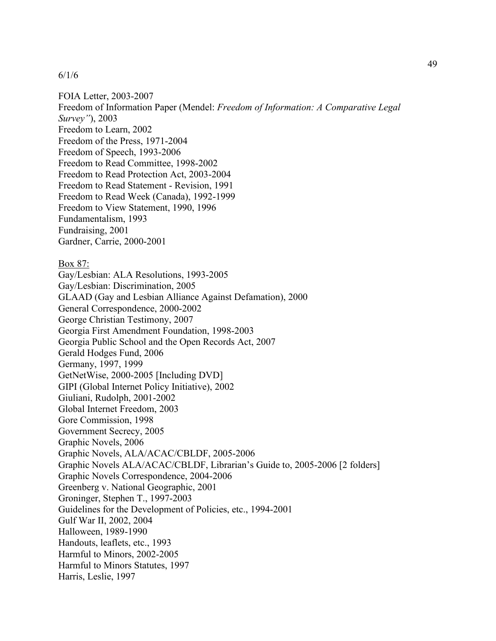FOIA Letter, 2003-2007 Freedom of Information Paper (Mendel: *Freedom of Information: A Comparative Legal Survey"*), 2003 Freedom to Learn, 2002 Freedom of the Press, 1971-2004 Freedom of Speech, 1993-2006 Freedom to Read Committee, 1998-2002 Freedom to Read Protection Act, 2003-2004 Freedom to Read Statement - Revision, 1991 Freedom to Read Week (Canada), 1992-1999 Freedom to View Statement, 1990, 1996 Fundamentalism, 1993 Fundraising, 2001 Gardner, Carrie, 2000-2001 Box 87: Gay/Lesbian: ALA Resolutions, 1993-2005 Gay/Lesbian: Discrimination, 2005 GLAAD (Gay and Lesbian Alliance Against Defamation), 2000 General Correspondence, 2000-2002 George Christian Testimony, 2007 Georgia First Amendment Foundation, 1998-2003 Georgia Public School and the Open Records Act, 2007 Gerald Hodges Fund, 2006 Germany, 1997, 1999 GetNetWise, 2000-2005 [Including DVD] GIPI (Global Internet Policy Initiative), 2002 Giuliani, Rudolph, 2001-2002 Global Internet Freedom, 2003 Gore Commission, 1998 Government Secrecy, 2005 Graphic Novels, 2006 Graphic Novels, ALA/ACAC/CBLDF, 2005-2006 Graphic Novels ALA/ACAC/CBLDF, Librarian's Guide to, 2005-2006 [2 folders] Graphic Novels Correspondence, 2004-2006 Greenberg v. National Geographic, 2001 Groninger, Stephen T., 1997-2003 Guidelines for the Development of Policies, etc., 1994-2001 Gulf War II, 2002, 2004 Halloween, 1989-1990 Handouts, leaflets, etc., 1993 Harmful to Minors, 2002-2005 Harmful to Minors Statutes, 1997 Harris, Leslie, 1997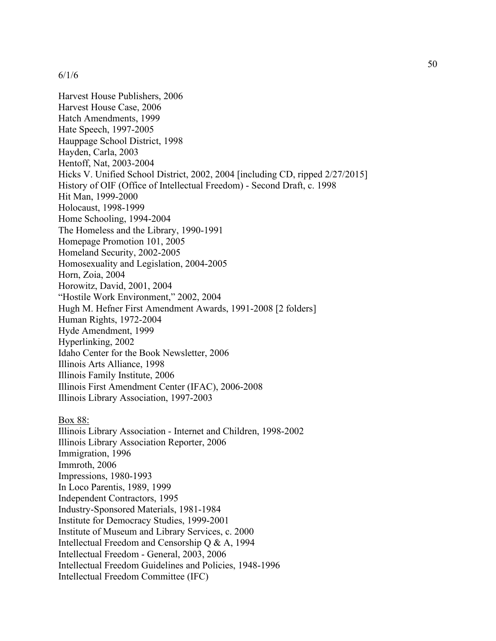Harvest House Publishers, 2006 Harvest House Case, 2006 Hatch Amendments, 1999 Hate Speech, 1997-2005 Hauppage School District, 1998 Hayden, Carla, 2003 Hentoff, Nat, 2003-2004 Hicks V. Unified School District, 2002, 2004 [including CD, ripped 2/27/2015] History of OIF (Office of Intellectual Freedom) - Second Draft, c. 1998 Hit Man, 1999-2000 Holocaust, 1998-1999 Home Schooling, 1994-2004 The Homeless and the Library, 1990-1991 Homepage Promotion 101, 2005 Homeland Security, 2002-2005 Homosexuality and Legislation, 2004-2005 Horn, Zoia, 2004 Horowitz, David, 2001, 2004 "Hostile Work Environment," 2002, 2004 Hugh M. Hefner First Amendment Awards, 1991-2008 [2 folders] Human Rights, 1972-2004 Hyde Amendment, 1999 Hyperlinking, 2002 Idaho Center for the Book Newsletter, 2006 Illinois Arts Alliance, 1998 Illinois Family Institute, 2006 Illinois First Amendment Center (IFAC), 2006-2008 Illinois Library Association, 1997-2003 Box 88: Illinois Library Association - Internet and Children, 1998-2002 Illinois Library Association Reporter, 2006

Immigration, 1996 Immroth, 2006 Impressions, 1980-1993 In Loco Parentis, 1989, 1999 Independent Contractors, 1995 Industry-Sponsored Materials, 1981-1984 Institute for Democracy Studies, 1999-2001 Institute of Museum and Library Services, c. 2000 Intellectual Freedom and Censorship Q & A, 1994 Intellectual Freedom - General, 2003, 2006 Intellectual Freedom Guidelines and Policies, 1948-1996 Intellectual Freedom Committee (IFC)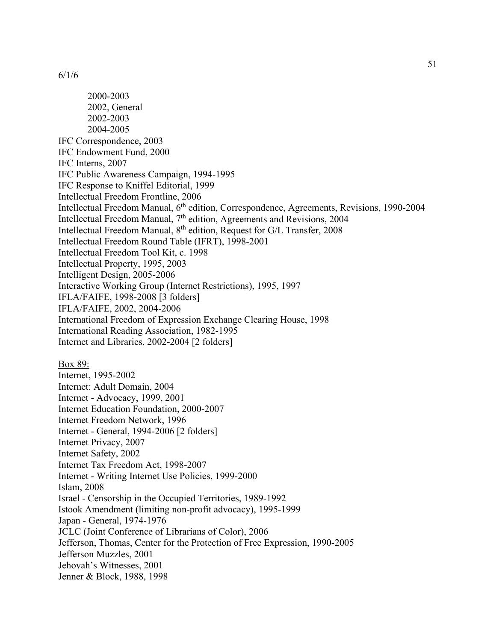2000-2003 2002, General 2002-2003 2004-2005 IFC Correspondence, 2003 IFC Endowment Fund, 2000 IFC Interns, 2007 IFC Public Awareness Campaign, 1994-1995 IFC Response to Kniffel Editorial, 1999 Intellectual Freedom Frontline, 2006 Intellectual Freedom Manual, 6<sup>th</sup> edition, Correspondence, Agreements, Revisions, 1990-2004 Intellectual Freedom Manual,  $7<sup>th</sup>$  edition, Agreements and Revisions, 2004 Intellectual Freedom Manual, 8<sup>th</sup> edition, Request for G/L Transfer, 2008 Intellectual Freedom Round Table (IFRT), 1998-2001 Intellectual Freedom Tool Kit, c. 1998 Intellectual Property, 1995, 2003 Intelligent Design, 2005-2006 Interactive Working Group (Internet Restrictions), 1995, 1997 IFLA/FAIFE, 1998-2008 [3 folders] IFLA/FAIFE, 2002, 2004-2006 International Freedom of Expression Exchange Clearing House, 1998 International Reading Association, 1982-1995 Internet and Libraries, 2002-2004 [2 folders] Box 89: Internet, 1995-2002 Internet: Adult Domain, 2004 Internet - Advocacy, 1999, 2001 Internet Education Foundation, 2000-2007 Internet Freedom Network, 1996 Internet - General, 1994-2006 [2 folders] Internet Privacy, 2007 Internet Safety, 2002 Internet Tax Freedom Act, 1998-2007 Internet - Writing Internet Use Policies, 1999-2000 Islam, 2008 Israel - Censorship in the Occupied Territories, 1989-1992 Istook Amendment (limiting non-profit advocacy), 1995-1999 Japan - General, 1974-1976 JCLC (Joint Conference of Librarians of Color), 2006 Jefferson, Thomas, Center for the Protection of Free Expression, 1990-2005 Jefferson Muzzles, 2001 Jehovah's Witnesses, 2001 Jenner & Block, 1988, 1998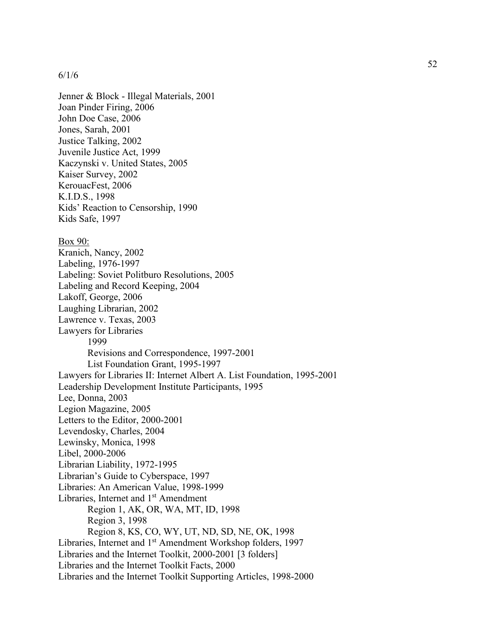Jenner & Block - Illegal Materials, 2001 Joan Pinder Firing, 2006 John Doe Case, 2006 Jones, Sarah, 2001 Justice Talking, 2002 Juvenile Justice Act, 1999 Kaczynski v. United States, 2005 Kaiser Survey, 2002 KerouacFest, 2006 K.I.D.S., 1998 Kids' Reaction to Censorship, 1990 Kids Safe, 1997 Box 90: Kranich, Nancy, 2002 Labeling, 1976-1997 Labeling: Soviet Politburo Resolutions, 2005 Labeling and Record Keeping, 2004 Lakoff, George, 2006 Laughing Librarian, 2002 Lawrence v. Texas, 2003 Lawyers for Libraries 1999 Revisions and Correspondence, 1997-2001 List Foundation Grant, 1995-1997 Lawyers for Libraries II: Internet Albert A. List Foundation, 1995-2001 Leadership Development Institute Participants, 1995 Lee, Donna, 2003 Legion Magazine, 2005 Letters to the Editor, 2000-2001 Levendosky, Charles, 2004 Lewinsky, Monica, 1998 Libel, 2000-2006 Librarian Liability, 1972-1995 Librarian's Guide to Cyberspace, 1997 Libraries: An American Value, 1998-1999 Libraries, Internet and 1<sup>st</sup> Amendment Region 1, AK, OR, WA, MT, ID, 1998 Region 3, 1998 Region 8, KS, CO, WY, UT, ND, SD, NE, OK, 1998 Libraries, Internet and 1<sup>st</sup> Amendment Workshop folders, 1997 Libraries and the Internet Toolkit, 2000-2001 [3 folders] Libraries and the Internet Toolkit Facts, 2000 Libraries and the Internet Toolkit Supporting Articles, 1998-2000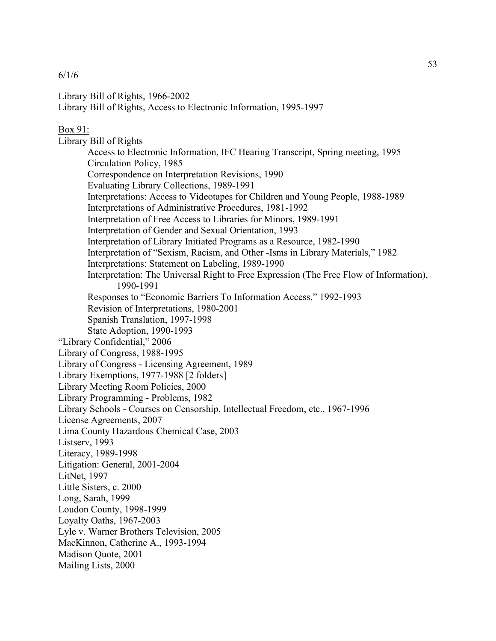```
6/1/6
```
Library Bill of Rights, 1966-2002 Library Bill of Rights, Access to Electronic Information, 1995-1997

# Box 91:

Library Bill of Rights Access to Electronic Information, IFC Hearing Transcript, Spring meeting, 1995 Circulation Policy, 1985 Correspondence on Interpretation Revisions, 1990 Evaluating Library Collections, 1989-1991 Interpretations: Access to Videotapes for Children and Young People, 1988-1989 Interpretations of Administrative Procedures, 1981-1992 Interpretation of Free Access to Libraries for Minors, 1989-1991 Interpretation of Gender and Sexual Orientation, 1993 Interpretation of Library Initiated Programs as a Resource, 1982-1990 Interpretation of "Sexism, Racism, and Other -Isms in Library Materials," 1982 Interpretations: Statement on Labeling, 1989-1990 Interpretation: The Universal Right to Free Expression (The Free Flow of Information), 1990-1991 Responses to "Economic Barriers To Information Access," 1992-1993 Revision of Interpretations, 1980-2001 Spanish Translation, 1997-1998 State Adoption, 1990-1993 "Library Confidential," 2006 Library of Congress, 1988-1995 Library of Congress - Licensing Agreement, 1989 Library Exemptions, 1977-1988 [2 folders] Library Meeting Room Policies, 2000 Library Programming - Problems, 1982 Library Schools - Courses on Censorship, Intellectual Freedom, etc., 1967-1996 License Agreements, 2007 Lima County Hazardous Chemical Case, 2003 Listserv, 1993 Literacy, 1989-1998 Litigation: General, 2001-2004 LitNet, 1997 Little Sisters, c. 2000 Long, Sarah, 1999 Loudon County, 1998-1999 Loyalty Oaths, 1967-2003 Lyle v. Warner Brothers Television, 2005 MacKinnon, Catherine A., 1993-1994 Madison Quote, 2001 Mailing Lists, 2000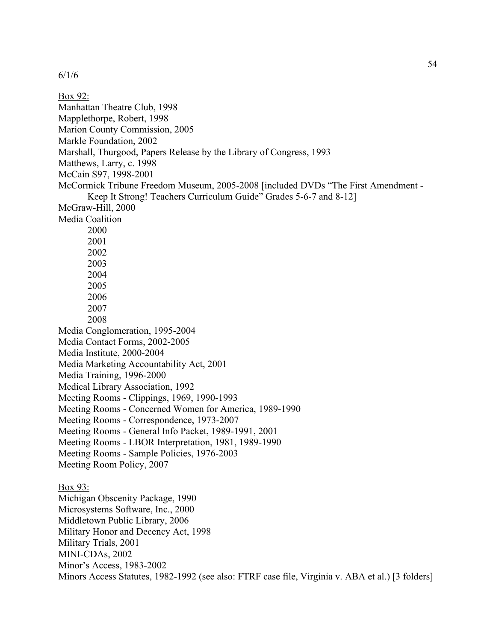Box 92: Manhattan Theatre Club, 1998 Mapplethorpe, Robert, 1998 Marion County Commission, 2005 Markle Foundation, 2002 Marshall, Thurgood, Papers Release by the Library of Congress, 1993 Matthews, Larry, c. 1998 McCain S97, 1998-2001 McCormick Tribune Freedom Museum, 2005-2008 [included DVDs "The First Amendment - Keep It Strong! Teachers Curriculum Guide" Grades 5-6-7 and 8-12] McGraw-Hill, 2000 Media Coalition 2000 2001 2002 2003 2004 2005 2006 2007 2008 Media Conglomeration, 1995-2004 Media Contact Forms, 2002-2005 Media Institute, 2000-2004 Media Marketing Accountability Act, 2001 Media Training, 1996-2000 Medical Library Association, 1992 Meeting Rooms - Clippings, 1969, 1990-1993 Meeting Rooms - Concerned Women for America, 1989-1990 Meeting Rooms - Correspondence, 1973-2007 Meeting Rooms - General Info Packet, 1989-1991, 2001 Meeting Rooms - LBOR Interpretation, 1981, 1989-1990 Meeting Rooms - Sample Policies, 1976-2003 Meeting Room Policy, 2007 Box 93: Michigan Obscenity Package, 1990 Microsystems Software, Inc., 2000 Middletown Public Library, 2006 Military Honor and Decency Act, 1998 Military Trials, 2001 MINI-CDAs, 2002 Minor's Access, 1983-2002 Minors Access Statutes, 1982-1992 (see also: FTRF case file, Virginia v. ABA et al.) [3 folders]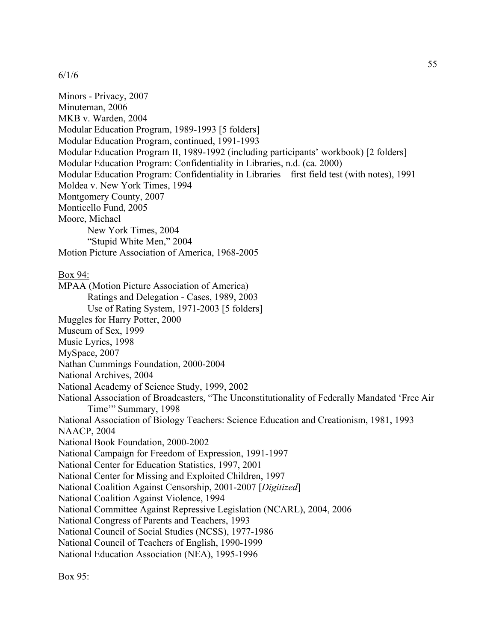Minors - Privacy, 2007 Minuteman, 2006 MKB v. Warden, 2004 Modular Education Program, 1989-1993 [5 folders] Modular Education Program, continued, 1991-1993 Modular Education Program II, 1989-1992 (including participants' workbook) [2 folders] Modular Education Program: Confidentiality in Libraries, n.d. (ca. 2000) Modular Education Program: Confidentiality in Libraries – first field test (with notes), 1991 Moldea v. New York Times, 1994 Montgomery County, 2007 Monticello Fund, 2005 Moore, Michael New York Times, 2004 "Stupid White Men," 2004 Motion Picture Association of America, 1968-2005 Box 94: MPAA (Motion Picture Association of America) Ratings and Delegation - Cases, 1989, 2003 Use of Rating System, 1971-2003 [5 folders] Muggles for Harry Potter, 2000 Museum of Sex, 1999 Music Lyrics, 1998 MySpace, 2007 Nathan Cummings Foundation, 2000-2004 National Archives, 2004 National Academy of Science Study, 1999, 2002 National Association of Broadcasters, "The Unconstitutionality of Federally Mandated 'Free Air Time'" Summary, 1998 National Association of Biology Teachers: Science Education and Creationism, 1981, 1993 NAACP, 2004 National Book Foundation, 2000-2002 National Campaign for Freedom of Expression, 1991-1997 National Center for Education Statistics, 1997, 2001 National Center for Missing and Exploited Children, 1997 National Coalition Against Censorship, 2001-2007 [*Digitized*] National Coalition Against Violence, 1994 National Committee Against Repressive Legislation (NCARL), 2004, 2006 National Congress of Parents and Teachers, 1993 National Council of Social Studies (NCSS), 1977-1986 National Council of Teachers of English, 1990-1999 National Education Association (NEA), 1995-1996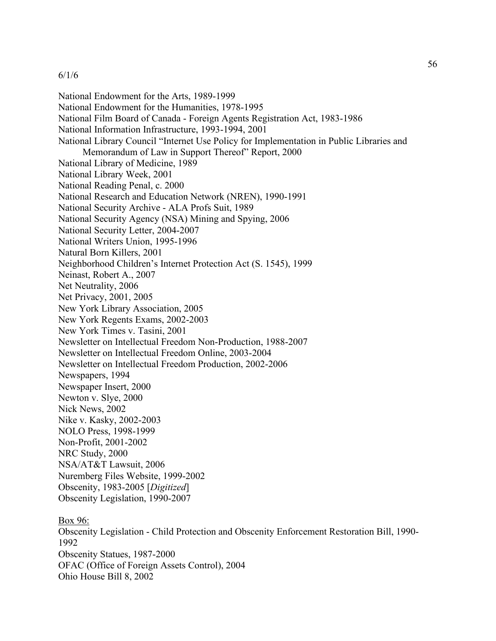National Endowment for the Arts, 1989-1999 National Endowment for the Humanities, 1978-1995 National Film Board of Canada - Foreign Agents Registration Act, 1983-1986 National Information Infrastructure, 1993-1994, 2001 National Library Council "Internet Use Policy for Implementation in Public Libraries and Memorandum of Law in Support Thereof" Report, 2000 National Library of Medicine, 1989 National Library Week, 2001 National Reading Penal, c. 2000 National Research and Education Network (NREN), 1990-1991 National Security Archive - ALA Profs Suit, 1989 National Security Agency (NSA) Mining and Spying, 2006 National Security Letter, 2004-2007 National Writers Union, 1995-1996 Natural Born Killers, 2001 Neighborhood Children's Internet Protection Act (S. 1545), 1999 Neinast, Robert A., 2007 Net Neutrality, 2006 Net Privacy, 2001, 2005 New York Library Association, 2005 New York Regents Exams, 2002-2003 New York Times v. Tasini, 2001 Newsletter on Intellectual Freedom Non-Production, 1988-2007 Newsletter on Intellectual Freedom Online, 2003-2004 Newsletter on Intellectual Freedom Production, 2002-2006 Newspapers, 1994 Newspaper Insert, 2000 Newton v. Slye, 2000 Nick News, 2002 Nike v. Kasky, 2002-2003 NOLO Press, 1998-1999 Non-Profit, 2001-2002 NRC Study, 2000 NSA/AT&T Lawsuit, 2006 Nuremberg Files Website, 1999-2002 Obscenity, 1983-2005 [*Digitized*] Obscenity Legislation, 1990-2007 Box 96:

Obscenity Legislation - Child Protection and Obscenity Enforcement Restoration Bill, 1990- 1992 Obscenity Statues, 1987-2000 OFAC (Office of Foreign Assets Control), 2004 Ohio House Bill 8, 2002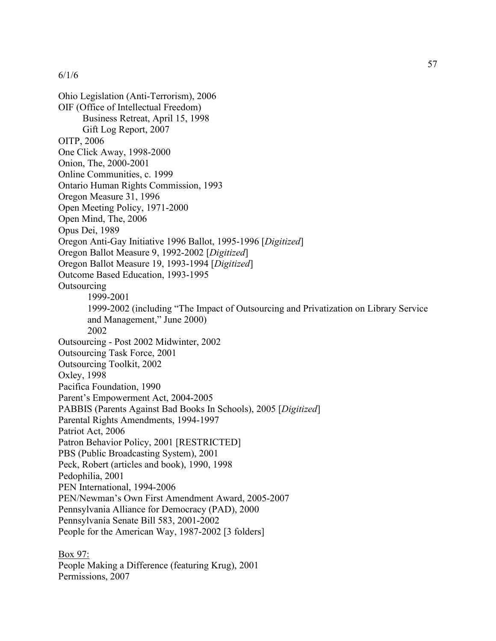Ohio Legislation (Anti-Terrorism), 2006 OIF (Office of Intellectual Freedom) Business Retreat, April 15, 1998 Gift Log Report, 2007 OITP, 2006 One Click Away, 1998-2000 Onion, The, 2000-2001 Online Communities, c. 1999 Ontario Human Rights Commission, 1993 Oregon Measure 31, 1996 Open Meeting Policy, 1971-2000 Open Mind, The, 2006 Opus Dei, 1989 Oregon Anti-Gay Initiative 1996 Ballot, 1995-1996 [*Digitized*] Oregon Ballot Measure 9, 1992-2002 [*Digitized*] Oregon Ballot Measure 19, 1993-1994 [*Digitized*] Outcome Based Education, 1993-1995 **Outsourcing** 1999-2001 1999-2002 (including "The Impact of Outsourcing and Privatization on Library Service and Management," June 2000) 2002 Outsourcing - Post 2002 Midwinter, 2002 Outsourcing Task Force, 2001 Outsourcing Toolkit, 2002 Oxley, 1998 Pacifica Foundation, 1990 Parent's Empowerment Act, 2004-2005 PABBIS (Parents Against Bad Books In Schools), 2005 [*Digitized*] Parental Rights Amendments, 1994-1997 Patriot Act, 2006 Patron Behavior Policy, 2001 [RESTRICTED] PBS (Public Broadcasting System), 2001 Peck, Robert (articles and book), 1990, 1998 Pedophilia, 2001 PEN International, 1994-2006 PEN/Newman's Own First Amendment Award, 2005-2007 Pennsylvania Alliance for Democracy (PAD), 2000 Pennsylvania Senate Bill 583, 2001-2002 People for the American Way, 1987-2002 [3 folders]

Box 97: People Making a Difference (featuring Krug), 2001 Permissions, 2007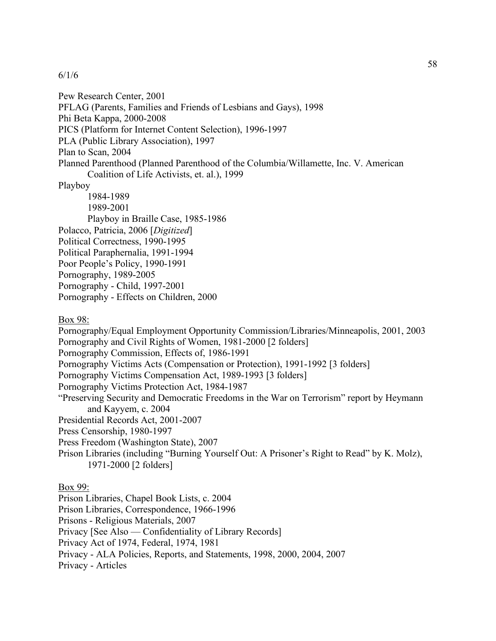Pew Research Center, 2001 PFLAG (Parents, Families and Friends of Lesbians and Gays), 1998 Phi Beta Kappa, 2000-2008 PICS (Platform for Internet Content Selection), 1996-1997 PLA (Public Library Association), 1997 Plan to Scan, 2004 Planned Parenthood (Planned Parenthood of the Columbia/Willamette, Inc. V. American Coalition of Life Activists, et. al.), 1999 Playboy 1984-1989 1989-2001 Playboy in Braille Case, 1985-1986 Polacco, Patricia, 2006 [*Digitized*] Political Correctness, 1990-1995 Political Paraphernalia, 1991-1994 Poor People's Policy, 1990-1991 Pornography, 1989-2005 Pornography - Child, 1997-2001 Pornography - Effects on Children, 2000 Box 98: Pornography/Equal Employment Opportunity Commission/Libraries/Minneapolis, 2001, 2003 Pornography and Civil Rights of Women, 1981-2000 [2 folders] Pornography Commission, Effects of, 1986-1991 Pornography Victims Acts (Compensation or Protection), 1991-1992 [3 folders] Pornography Victims Compensation Act, 1989-1993 [3 folders] Pornography Victims Protection Act, 1984-1987 "Preserving Security and Democratic Freedoms in the War on Terrorism" report by Heymann and Kayyem, c. 2004 Presidential Records Act, 2001-2007 Press Censorship, 1980-1997 Press Freedom (Washington State), 2007 Prison Libraries (including "Burning Yourself Out: A Prisoner's Right to Read" by K. Molz), 1971-2000 [2 folders]

Box 99:

Prison Libraries, Chapel Book Lists, c. 2004

Prison Libraries, Correspondence, 1966-1996

Prisons - Religious Materials, 2007

Privacy [See Also — Confidentiality of Library Records]

Privacy Act of 1974, Federal, 1974, 1981

Privacy - ALA Policies, Reports, and Statements, 1998, 2000, 2004, 2007

Privacy - Articles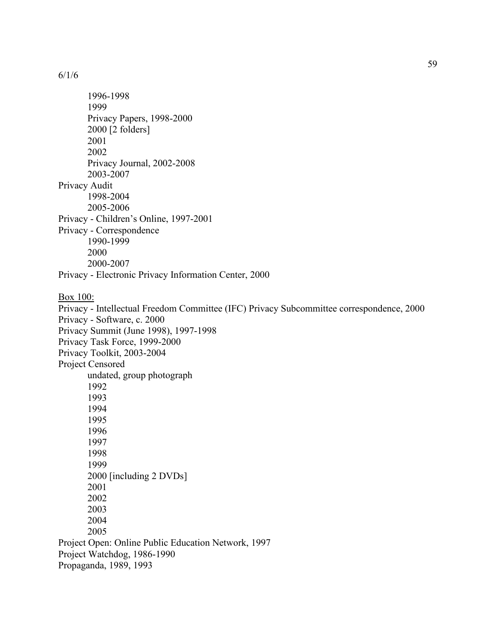1996-1998 1999 Privacy Papers, 1998-2000 2000 [2 folders] 2001 2002 Privacy Journal, 2002-2008 2003-2007 Privacy Audit 1998-2004 2005-2006 Privacy - Children's Online, 1997-2001 Privacy - Correspondence 1990-1999 2000 2000-2007 Privacy - Electronic Privacy Information Center, 2000 Box 100: Privacy - Intellectual Freedom Committee (IFC) Privacy Subcommittee correspondence, 2000 Privacy - Software, c. 2000 Privacy Summit (June 1998), 1997-1998 Privacy Task Force, 1999-2000 Privacy Toolkit, 2003-2004 Project Censored undated, group photograph 1992 1993 1994 1995 1996 1997 1998 1999 2000 [including 2 DVDs] 2001 2002 2003 2004 2005 Project Open: Online Public Education Network, 1997 Project Watchdog, 1986-1990

Propaganda, 1989, 1993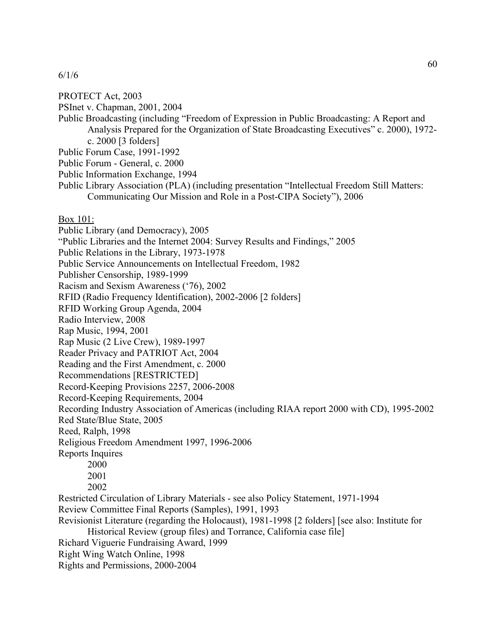## PROTECT Act, 2003

PSInet v. Chapman, 2001, 2004

Public Broadcasting (including "Freedom of Expression in Public Broadcasting: A Report and Analysis Prepared for the Organization of State Broadcasting Executives" c. 2000), 1972 c. 2000 [3 folders]

Public Forum Case, 1991-1992

Public Forum - General, c. 2000

Public Information Exchange, 1994

Public Library Association (PLA) (including presentation "Intellectual Freedom Still Matters: Communicating Our Mission and Role in a Post-CIPA Society"), 2006

### Box 101:

Public Library (and Democracy), 2005 "Public Libraries and the Internet 2004: Survey Results and Findings," 2005 Public Relations in the Library, 1973-1978 Public Service Announcements on Intellectual Freedom, 1982 Publisher Censorship, 1989-1999 Racism and Sexism Awareness ('76), 2002 RFID (Radio Frequency Identification), 2002-2006 [2 folders] RFID Working Group Agenda, 2004 Radio Interview, 2008 Rap Music, 1994, 2001 Rap Music (2 Live Crew), 1989-1997 Reader Privacy and PATRIOT Act, 2004 Reading and the First Amendment, c. 2000 Recommendations [RESTRICTED] Record-Keeping Provisions 2257, 2006-2008 Record-Keeping Requirements, 2004 Recording Industry Association of Americas (including RIAA report 2000 with CD), 1995-2002 Red State/Blue State, 2005 Reed, Ralph, 1998 Religious Freedom Amendment 1997, 1996-2006 Reports Inquires 2000 2001 2002 Restricted Circulation of Library Materials - see also Policy Statement, 1971-1994 Review Committee Final Reports (Samples), 1991, 1993 Revisionist Literature (regarding the Holocaust), 1981-1998 [2 folders] [see also: Institute for Historical Review (group files) and Torrance, California case file] Richard Viguerie Fundraising Award, 1999 Right Wing Watch Online, 1998

Rights and Permissions, 2000-2004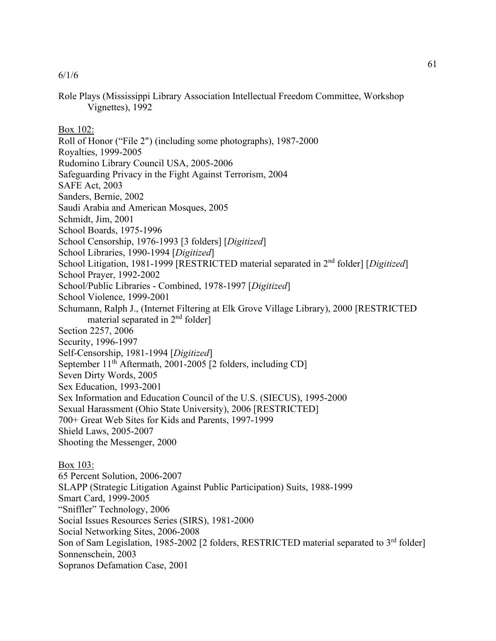Role Plays (Mississippi Library Association Intellectual Freedom Committee, Workshop Vignettes), 1992

Box 102:

- Roll of Honor ("File 2") (including some photographs), 1987-2000
- Royalties, 1999-2005
- Rudomino Library Council USA, 2005-2006
- Safeguarding Privacy in the Fight Against Terrorism, 2004
- SAFE Act, 2003
- Sanders, Bernie, 2002
- Saudi Arabia and American Mosques, 2005
- Schmidt, Jim, 2001
- School Boards, 1975-1996
- School Censorship, 1976-1993 [3 folders] [*Digitized*]
- School Libraries, 1990-1994 [*Digitized*]
- School Litigation, 1981-1999 [RESTRICTED material separated in 2nd folder] [*Digitized*]
- School Prayer, 1992-2002
- School/Public Libraries Combined, 1978-1997 [*Digitized*]
- School Violence, 1999-2001
- Schumann, Ralph J., (Internet Filtering at Elk Grove Village Library), 2000 [RESTRICTED material separated in 2<sup>nd</sup> folder]
- Section 2257, 2006
- Security, 1996-1997
- Self-Censorship, 1981-1994 [*Digitized*]
- September  $11^{th}$  Aftermath, 2001-2005 [2 folders, including CD]
- Seven Dirty Words, 2005
- Sex Education, 1993-2001
- Sex Information and Education Council of the U.S. (SIECUS), 1995-2000
- Sexual Harassment (Ohio State University), 2006 [RESTRICTED]
- 700+ Great Web Sites for Kids and Parents, 1997-1999
- Shield Laws, 2005-2007
- Shooting the Messenger, 2000

Box 103: 65 Percent Solution, 2006-2007 SLAPP (Strategic Litigation Against Public Participation) Suits, 1988-1999 Smart Card, 1999-2005 "Sniffler" Technology, 2006 Social Issues Resources Series (SIRS), 1981-2000 Social Networking Sites, 2006-2008 Son of Sam Legislation, 1985-2002 [2 folders, RESTRICTED material separated to 3<sup>rd</sup> folder] Sonnenschein, 2003 Sopranos Defamation Case, 2001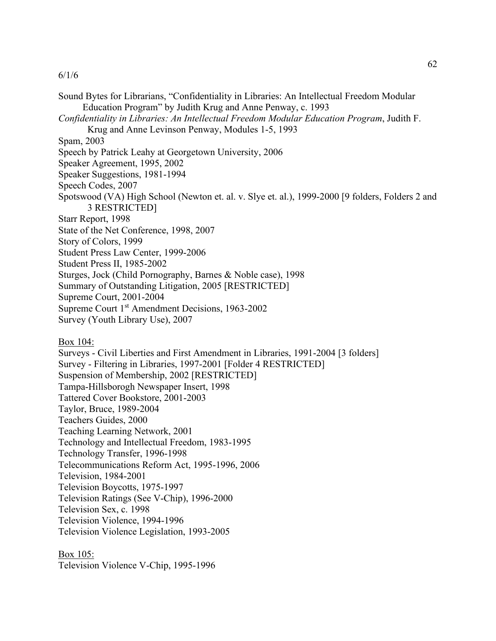Sound Bytes for Librarians, "Confidentiality in Libraries: An Intellectual Freedom Modular Education Program" by Judith Krug and Anne Penway, c. 1993 *Confidentiality in Libraries: An Intellectual Freedom Modular Education Program*, Judith F. Krug and Anne Levinson Penway, Modules 1-5, 1993 Spam, 2003 Speech by Patrick Leahy at Georgetown University, 2006 Speaker Agreement, 1995, 2002 Speaker Suggestions, 1981-1994 Speech Codes, 2007 Spotswood (VA) High School (Newton et. al. v. Slye et. al.), 1999-2000 [9 folders, Folders 2 and 3 RESTRICTED] Starr Report, 1998 State of the Net Conference, 1998, 2007 Story of Colors, 1999 Student Press Law Center, 1999-2006 Student Press II, 1985-2002 Sturges, Jock (Child Pornography, Barnes & Noble case), 1998 Summary of Outstanding Litigation, 2005 [RESTRICTED] Supreme Court, 2001-2004 Supreme Court 1<sup>st</sup> Amendment Decisions, 1963-2002 Survey (Youth Library Use), 2007

Box 104:

Surveys - Civil Liberties and First Amendment in Libraries, 1991-2004 [3 folders] Survey - Filtering in Libraries, 1997-2001 [Folder 4 RESTRICTED] Suspension of Membership, 2002 [RESTRICTED] Tampa-Hillsborogh Newspaper Insert, 1998 Tattered Cover Bookstore, 2001-2003 Taylor, Bruce, 1989-2004 Teachers Guides, 2000 Teaching Learning Network, 2001 Technology and Intellectual Freedom, 1983-1995 Technology Transfer, 1996-1998 Telecommunications Reform Act, 1995-1996, 2006 Television, 1984-2001 Television Boycotts, 1975-1997 Television Ratings (See V-Chip), 1996-2000 Television Sex, c. 1998 Television Violence, 1994-1996 Television Violence Legislation, 1993-2005

Box 105:

Television Violence V-Chip, 1995-1996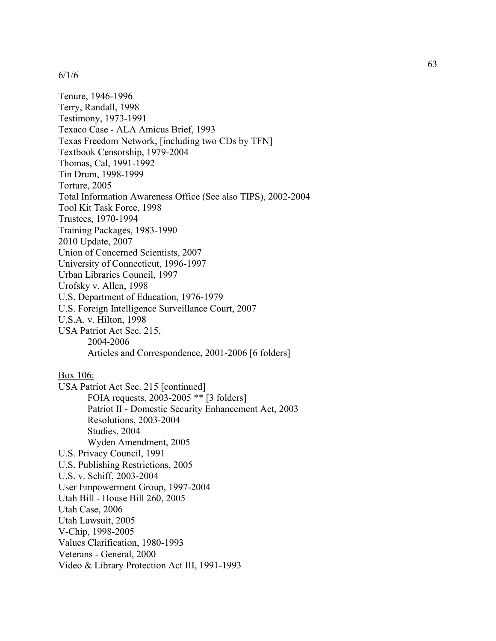Tenure, 1946 -1996 Terry, Randall, 1998 Testimony, 1973 -1991 Texaco Case - ALA Amicus Brief, 1993 Texas Freedom Network, [including two CDs by TFN] Textbook Censorship, 1979 -2004 Thomas, Cal, 1991 -1992 Tin Drum, 1998 -1999 Torture, 2005 Total Information Awareness Office (See also TIPS), 2002 -2004 Tool Kit Task Force, 1998 Trustees, 1970 -1994 Training Packages, 1983 -1990 2010 Update, 2007 Union of Concerned Scientists, 2007 University of Connecticut, 1996 -1997 Urban Libraries Council, 1997 Urofsky v. Allen, 1998 U.S. Department of Education, 1976 -1979 U.S. Foreign Intelligence Surveillance Court, 2007 U.S.A. v. Hilton, 1998 USA Patriot Act Sec. 215, 2004 -2006 Articles and Correspondence, 2001 -2006 [6 folders] Box 106: USA Patriot Act Sec. 215 [continued] FOIA requests, 2003 -2005 \*\* [3 folders] Patriot II - Domestic Security Enhancement Act, 2003 Resolutions, 2003 -2004 Studies, 2004 Wyden Amendment, 2005 U.S. Privacy Council, 199 1 U.S. Publishing Restrictions, 2005 U.S. v. Schiff, 2003 -2004 User Empowerment Group, 1997 -2004 Utah Bill - House Bill 260, 2005 Utah Case, 2006 Utah Law suit, 2005 V -Chip, 1998 -2005 Values Clarification, 1980 -1993 Veterans - General, 2000

Video & Library Protection Act III, 1991 -1993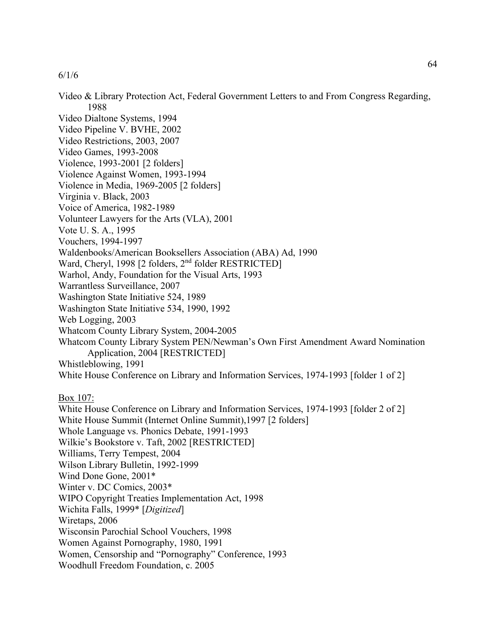Video & Library Protection Act, Federal Government Letters to and From Congress Regarding, 1988 Video Dialtone Systems, 1994 Video Pipeline V. BVHE, 2002 Video Restrictions, 2003, 2007 Video Games, 1993-2008 Violence, 1993-2001 [2 folders] Violence Against Women, 1993-1994 Violence in Media, 1969-2005 [2 folders] Virginia v. Black, 2003 Voice of America, 1982-1989 Volunteer Lawyers for the Arts (VLA), 2001 Vote U. S. A., 1995 Vouchers, 1994-1997 Waldenbooks/American Booksellers Association (ABA) Ad, 1990 Ward, Cheryl, 1998 [2 folders, 2<sup>nd</sup> folder RESTRICTED] Warhol, Andy, Foundation for the Visual Arts, 1993 Warrantless Surveillance, 2007 Washington State Initiative 524, 1989 Washington State Initiative 534, 1990, 1992 Web Logging, 2003 Whatcom County Library System, 2004-2005 Whatcom County Library System PEN/Newman's Own First Amendment Award Nomination Application, 2004 [RESTRICTED] Whistleblowing, 1991 White House Conference on Library and Information Services, 1974-1993 [folder 1 of 2] Box 107: White House Conference on Library and Information Services, 1974-1993 [folder 2 of 2] White House Summit (Internet Online Summit),1997 [2 folders] Whole Language vs. Phonics Debate, 1991-1993 Wilkie's Bookstore v. Taft, 2002 [RESTRICTED] Williams, Terry Tempest, 2004 Wilson Library Bulletin, 1992-1999 Wind Done Gone, 2001\* Winter v. DC Comics, 2003\* WIPO Copyright Treaties Implementation Act, 1998 Wichita Falls, 1999\* [*Digitized*] Wiretaps, 2006 Wisconsin Parochial School Vouchers, 1998 Women Against Pornography, 1980, 1991 Women, Censorship and "Pornography" Conference, 1993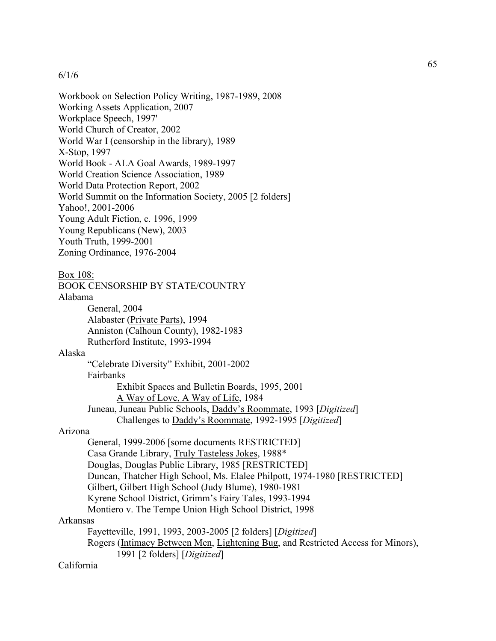Workbook on Selection Policy Writing, 1987-1989, 2008 Working Assets Application, 2007 Workplace Speech, 1997' World Church of Creator, 2002 World War I (censorship in the library), 1989 X-Stop, 1997 World Book - ALA Goal Awards, 1989-1997 World Creation Science Association, 1989 World Data Protection Report, 2002 World Summit on the Information Society, 2005 [2 folders] Yahoo!, 2001-2006 Young Adult Fiction, c. 1996, 1999 Young Republicans (New), 2003 Youth Truth, 1999-2001 Zoning Ordinance, 1976-2004

#### Box 108:

BOOK CENSORSHIP BY STATE/COUNTRY

## Alabama

General, 2004 Alabaster (Private Parts), 1994 Anniston (Calhoun County), 1982-1983 Rutherford Institute, 1993-1994

# Alaska

"Celebrate Diversity" Exhibit, 2001-2002 Fairbanks Exhibit Spaces and Bulletin Boards, 1995, 2001 A Way of Love, A Way of Life, 1984 Juneau, Juneau Public Schools, Daddy's Roommate, 1993 [*Digitized*] Challenges to Daddy's Roommate, 1992-1995 [*Digitized*]

## Arizona

General, 1999-2006 [some documents RESTRICTED] Casa Grande Library, Truly Tasteless Jokes, 1988\* Douglas, Douglas Public Library, 1985 [RESTRICTED] Duncan, Thatcher High School, Ms. Elalee Philpott, 1974-1980 [RESTRICTED] Gilbert, Gilbert High School (Judy Blume), 1980-1981 Kyrene School District, Grimm's Fairy Tales, 1993-1994 Montiero v. The Tempe Union High School District, 1998 Arkansas Fayetteville, 1991, 1993, 2003-2005 [2 folders] [*Digitized*] Rogers (Intimacy Between Men, Lightening Bug, and Restricted Access for Minors), 1991 [2 folders] [*Digitized*]

# California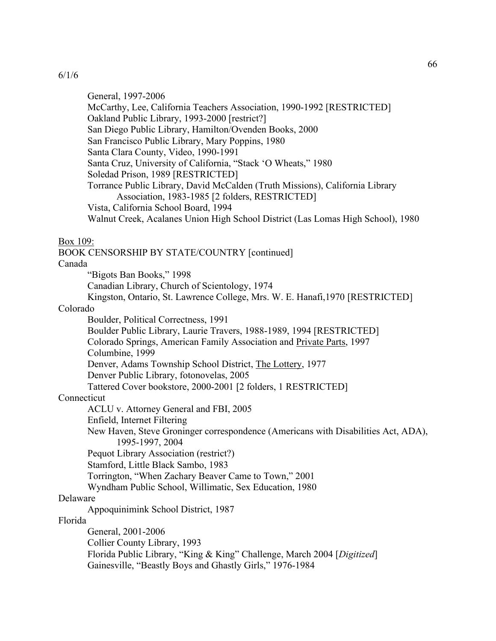General, 1997-2006 McCarthy, Lee, California Teachers Association, 1990-1992 [RESTRICTED] Oakland Public Library, 1993-2000 [restrict?] San Diego Public Library, Hamilton/Ovenden Books, 2000 San Francisco Public Library, Mary Poppins, 1980 Santa Clara County, Video, 1990-1991 Santa Cruz, University of California, "Stack 'O Wheats," 1980 Soledad Prison, 1989 [RESTRICTED] Torrance Public Library, David McCalden (Truth Missions), California Library Association, 1983-1985 [2 folders, RESTRICTED] Vista, California School Board, 1994 Walnut Creek, Acalanes Union High School District (Las Lomas High School), 1980 Box 109: BOOK CENSORSHIP BY STATE/COUNTRY [continued] Canada "Bigots Ban Books," 1998 Canadian Library, Church of Scientology, 1974 Kingston, Ontario, St. Lawrence College, Mrs. W. E. Hanafi,1970 [RESTRICTED] Colorado Boulder, Political Correctness, 1991 Boulder Public Library, Laurie Travers, 1988-1989, 1994 [RESTRICTED] Colorado Springs, American Family Association and Private Parts, 1997 Columbine, 1999 Denver, Adams Township School District, The Lottery, 1977 Denver Public Library, fotonovelas, 2005 Tattered Cover bookstore, 2000-2001 [2 folders, 1 RESTRICTED] **Connecticut** ACLU v. Attorney General and FBI, 2005 Enfield, Internet Filtering New Haven, Steve Groninger correspondence (Americans with Disabilities Act, ADA), 1995-1997, 2004 Pequot Library Association (restrict?) Stamford, Little Black Sambo, 1983 Torrington, "When Zachary Beaver Came to Town," 2001 Wyndham Public School, Willimatic, Sex Education, 1980 Delaware Appoquinimink School District, 1987 Florida General, 2001-2006 Collier County Library, 1993 Florida Public Library, "King & King" Challenge, March 2004 [*Digitized*] Gainesville, "Beastly Boys and Ghastly Girls," 1976-1984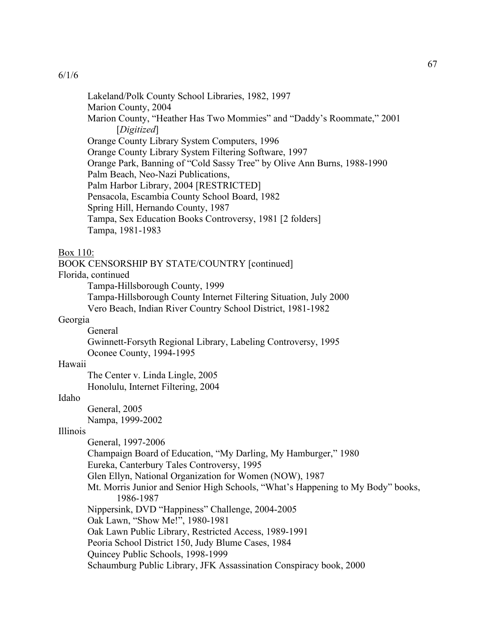Lakeland/Polk County School Libraries, 1982, 1997 Marion County, 2004 Marion County, "Heather Has Two Mommies" and "Daddy's Roommate," 2001 [*Digitized*] Orange County Library System Computers, 1996 Orange County Library System Filtering Software, 1997 Orange Park, Banning of "Cold Sassy Tree" by Olive Ann Burns, 1988-1990 Palm Beach, Neo-Nazi Publications, Palm Harbor Library, 2004 [RESTRICTED] Pensacola, Escambia County School Board, 1982 Spring Hill, Hernando County, 1987 Tampa, Sex Education Books Controversy, 1981 [2 folders] Tampa, 1981-1983

#### Box 110:

BOOK CENSORSHIP BY STATE/COUNTRY [continued]

Florida, continued

Tampa-Hillsborough County, 1999

Tampa-Hillsborough County Internet Filtering Situation, July 2000 Vero Beach, Indian River Country School District, 1981-1982

# Georgia

General Gwinnett-Forsyth Regional Library, Labeling Controversy, 1995 Oconee County, 1994-1995

#### Hawaii

The Center v. Linda Lingle, 2005 Honolulu, Internet Filtering, 2004

# Idaho

General, 2005 Nampa, 1999-2002

#### Illinois

General, 1997-2006 Champaign Board of Education, "My Darling, My Hamburger," 1980 Eureka, Canterbury Tales Controversy, 1995 Glen Ellyn, National Organization for Women (NOW), 1987 Mt. Morris Junior and Senior High Schools, "What's Happening to My Body" books, 1986-1987 Nippersink, DVD "Happiness" Challenge, 2004-2005 Oak Lawn, "Show Me!", 1980-1981 Oak Lawn Public Library, Restricted Access, 1989-1991 Peoria School District 150, Judy Blume Cases, 1984 Quincey Public Schools, 1998-1999 Schaumburg Public Library, JFK Assassination Conspiracy book, 2000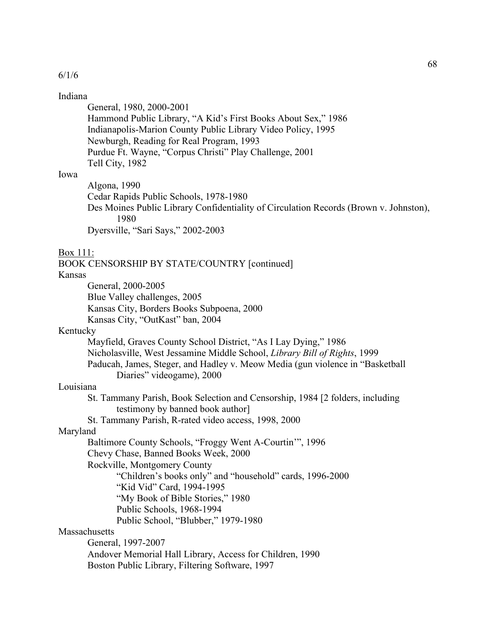#### Indiana

General, 1980, 2000-2001 Hammond Public Library, "A Kid's First Books About Sex," 1986 Indianapolis-Marion County Public Library Video Policy, 1995 Newburgh, Reading for Real Program, 1993 Purdue Ft. Wayne, "Corpus Christi" Play Challenge, 2001 Tell City, 1982

# Iowa

Algona, 1990 Cedar Rapids Public Schools, 1978-1980 Des Moines Public Library Confidentiality of Circulation Records (Brown v. Johnston), 1980 Dyersville, "Sari Says," 2002-2003

#### Box 111:

BOOK CENSORSHIP BY STATE/COUNTRY [continued] Kansas General, 2000-2005 Blue Valley challenges, 2005 Kansas City, Borders Books Subpoena, 2000 Kansas City, "OutKast" ban, 2004 Kentucky Mayfield, Graves County School District, "As I Lay Dying," 1986 Nicholasville, West Jessamine Middle School, *Library Bill of Rights*, 1999 Paducah, James, Steger, and Hadley v. Meow Media (gun violence in "Basketball Diaries" videogame), 2000 Louisiana St. Tammany Parish, Book Selection and Censorship, 1984 [2 folders, including testimony by banned book author] St. Tammany Parish, R-rated video access, 1998, 2000 Maryland Baltimore County Schools, "Froggy Went A-Courtin'", 1996 Chevy Chase, Banned Books Week, 2000 Rockville, Montgomery County "Children's books only" and "household" cards, 1996-2000 "Kid Vid" Card, 1994-1995 "My Book of Bible Stories," 1980 Public Schools, 1968-1994 Public School, "Blubber," 1979-1980 **Massachusetts** General, 1997-2007 Andover Memorial Hall Library, Access for Children, 1990 Boston Public Library, Filtering Software, 1997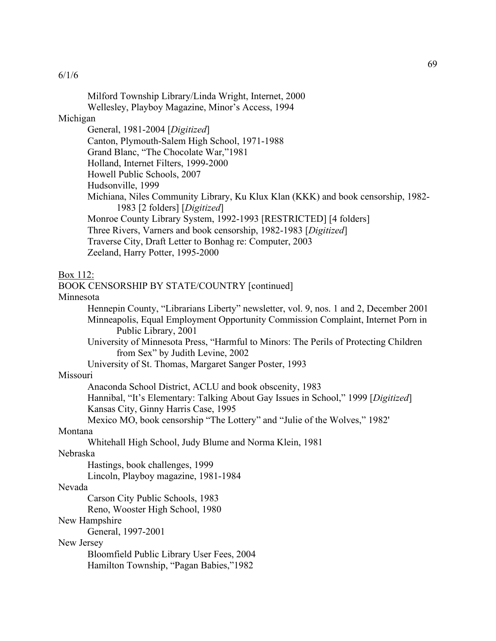Milford Township Library/Linda Wright, Internet, 2000 Wellesley, Playboy Magazine, Minor's Access, 1994 Michigan General, 1981-2004 [*Digitized*] Canton, Plymouth-Salem High School, 1971-1988 Grand Blanc, "The Chocolate War,"1981 Holland, Internet Filters, 1999-2000 Howell Public Schools, 2007 Hudsonville, 1999 Michiana, Niles Community Library, Ku Klux Klan (KKK) and book censorship, 1982- 1983 [2 folders] [*Digitized*] Monroe County Library System, 1992-1993 [RESTRICTED] [4 folders] Three Rivers, Varners and book censorship, 1982-1983 [*Digitized*] Traverse City, Draft Letter to Bonhag re: Computer, 2003 Zeeland, Harry Potter, 1995-2000 Box 112: BOOK CENSORSHIP BY STATE/COUNTRY [continued] Minnesota Hennepin County, "Librarians Liberty" newsletter, vol. 9, nos. 1 and 2, December 2001 Minneapolis, Equal Employment Opportunity Commission Complaint, Internet Porn in Public Library, 2001 University of Minnesota Press, "Harmful to Minors: The Perils of Protecting Children from Sex" by Judith Levine, 2002 University of St. Thomas, Margaret Sanger Poster, 1993 Missouri Anaconda School District, ACLU and book obscenity, 1983 Hannibal, "It's Elementary: Talking About Gay Issues in School," 1999 [*Digitized*] Kansas City, Ginny Harris Case, 1995 Mexico MO, book censorship "The Lottery" and "Julie of the Wolves," 1982' Montana Whitehall High School, Judy Blume and Norma Klein, 1981 Nebraska Hastings, book challenges, 1999 Lincoln, Playboy magazine, 1981-1984 Nevada Carson City Public Schools, 1983 Reno, Wooster High School, 1980 New Hampshire General, 1997-2001 New Jersey Bloomfield Public Library User Fees, 2004 Hamilton Township, "Pagan Babies,"1982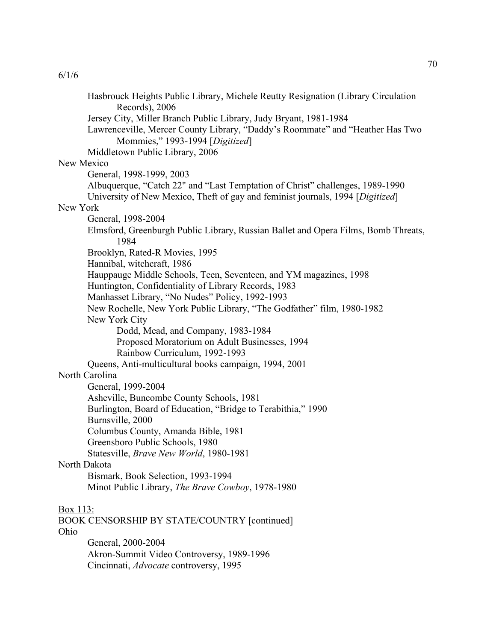Hasbrouck Heights Public Library, Michele Reutty Resignation (Library Circulation Records), 2006 Jersey City, Miller Branch Public Library, Judy Bryant, 1981-1984 Lawrenceville, Mercer County Library, "Daddy's Roommate" and "Heather Has Two Mommies," 1993-1994 [*Digitized*] Middletown Public Library, 2006 New Mexico General, 1998-1999, 2003 Albuquerque, "Catch 22" and "Last Temptation of Christ" challenges, 1989-1990 University of New Mexico, Theft of gay and feminist journals, 1994 [*Digitized*] New York General, 1998-2004 Elmsford, Greenburgh Public Library, Russian Ballet and Opera Films, Bomb Threats, 1984 Brooklyn, Rated-R Movies, 1995 Hannibal, witchcraft, 1986 Hauppauge Middle Schools, Teen, Seventeen, and YM magazines, 1998 Huntington, Confidentiality of Library Records, 1983 Manhasset Library, "No Nudes" Policy, 1992-1993 New Rochelle, New York Public Library, "The Godfather" film, 1980-1982 New York City Dodd, Mead, and Company, 1983-1984 Proposed Moratorium on Adult Businesses, 1994 Rainbow Curriculum, 1992-1993 Queens, Anti-multicultural books campaign, 1994, 2001 North Carolina General, 1999-2004 Asheville, Buncombe County Schools, 1981 Burlington, Board of Education, "Bridge to Terabithia," 1990 Burnsville, 2000 Columbus County, Amanda Bible, 1981 Greensboro Public Schools, 1980 Statesville, *Brave New World*, 1980-1981 North Dakota Bismark, Book Selection, 1993-1994 Minot Public Library, *The Brave Cowboy*, 1978-1980 Box 113: BOOK CENSORSHIP BY STATE/COUNTRY [continued] Ohio General, 2000-2004 Akron-Summit Video Controversy, 1989-1996 Cincinnati, *Advocate* controversy, 1995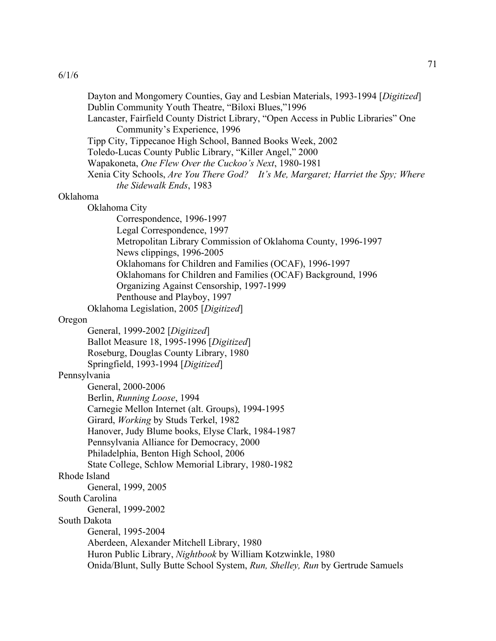| Dayton and Mongomery Counties, Gay and Lesbian Materials, 1993-1994 [Digitized]<br>Dublin Community Youth Theatre, "Biloxi Blues,"1996 |
|----------------------------------------------------------------------------------------------------------------------------------------|
| Lancaster, Fairfield County District Library, "Open Access in Public Libraries" One<br>Community's Experience, 1996                    |
| Tipp City, Tippecanoe High School, Banned Books Week, 2002                                                                             |
| Toledo-Lucas County Public Library, "Killer Angel," 2000                                                                               |
| Wapakoneta, One Flew Over the Cuckoo's Next, 1980-1981                                                                                 |
| Xenia City Schools, Are You There God? It's Me, Margaret; Harriet the Spy; Where<br>the Sidewalk Ends, 1983                            |
| Oklahoma                                                                                                                               |
| Oklahoma City                                                                                                                          |
| Correspondence, 1996-1997                                                                                                              |
| Legal Correspondence, 1997                                                                                                             |
| Metropolitan Library Commission of Oklahoma County, 1996-1997                                                                          |
| News clippings, 1996-2005<br>Oklahomans for Children and Families (OCAF), 1996-1997                                                    |
| Oklahomans for Children and Families (OCAF) Background, 1996                                                                           |
| Organizing Against Censorship, 1997-1999                                                                                               |
| Penthouse and Playboy, 1997                                                                                                            |
| Oklahoma Legislation, 2005 [Digitized]                                                                                                 |
| Oregon                                                                                                                                 |
| General, 1999-2002 [Digitized]                                                                                                         |
| Ballot Measure 18, 1995-1996 [Digitized]                                                                                               |
| Roseburg, Douglas County Library, 1980                                                                                                 |
| Springfield, 1993-1994 [Digitized]                                                                                                     |
| Pennsylvania                                                                                                                           |
| General, 2000-2006                                                                                                                     |
| Berlin, Running Loose, 1994                                                                                                            |
| Carnegie Mellon Internet (alt. Groups), 1994-1995<br>Girard, Working by Studs Terkel, 1982                                             |
| Hanover, Judy Blume books, Elyse Clark, 1984-1987                                                                                      |
| Pennsylvania Alliance for Democracy, 2000                                                                                              |
| Philadelphia, Benton High School, 2006                                                                                                 |
| State College, Schlow Memorial Library, 1980-1982                                                                                      |
| Rhode Island                                                                                                                           |
| General, 1999, 2005                                                                                                                    |
| South Carolina                                                                                                                         |
| General, 1999-2002                                                                                                                     |
| South Dakota                                                                                                                           |
| General, 1995-2004                                                                                                                     |
| Aberdeen, Alexander Mitchell Library, 1980                                                                                             |
| Huron Public Library, Nightbook by William Kotzwinkle, 1980                                                                            |
| Onida/Blunt, Sully Butte School System, Run, Shelley, Run by Gertrude Samuels                                                          |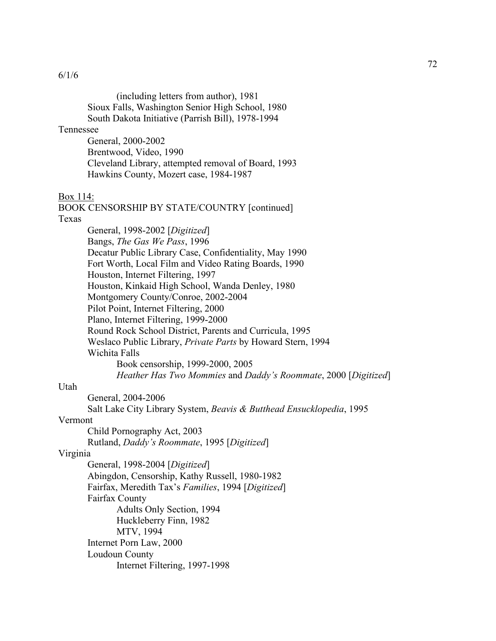(including letters from author), 1981 Sioux Falls, Washington Senior High School, 1980 South Dakota Initiative (Parrish Bill), 1978-1994

# Tennessee

General, 2000-2002 Brentwood, Video, 1990 Cleveland Library, attempted removal of Board, 1993 Hawkins County, Mozert case, 1984-1987

## Box 114:

BOOK CENSORSHIP BY STATE/COUNTRY [continued]

# Texas

General, 1998-2002 [*Digitized*] Bangs, *The Gas We Pass*, 1996 Decatur Public Library Case, Confidentiality, May 1990 Fort Worth, Local Film and Video Rating Boards, 1990 Houston, Internet Filtering, 1997 Houston, Kinkaid High School, Wanda Denley, 1980 Montgomery County/Conroe, 2002-2004 Pilot Point, Internet Filtering, 2000 Plano, Internet Filtering, 1999-2000 Round Rock School District, Parents and Curricula, 1995 Weslaco Public Library, *Private Parts* by Howard Stern, 1994 Wichita Falls Book censorship, 1999-2000, 2005

*Heather Has Two Mommies* and *Daddy's Roommate*, 2000 [*Digitized*]

## Utah

General, 2004-2006

Salt Lake City Library System, *Beavis & Butthead Ensucklopedia*, 1995

# Vermont

Child Pornography Act, 2003

Rutland, *Daddy's Roommate*, 1995 [*Digitized*]

# Virginia

General, 1998-2004 [*Digitized*] Abingdon, Censorship, Kathy Russell, 1980-1982 Fairfax, Meredith Tax's *Families*, 1994 [*Digitized*] Fairfax County Adults Only Section, 1994 Huckleberry Finn, 1982 MTV, 1994 Internet Porn Law, 2000 Loudoun County Internet Filtering, 1997-1998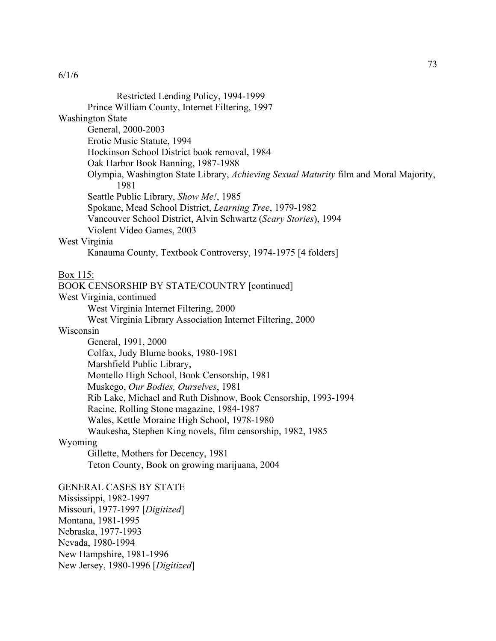| Restricted Lending Policy, 1994-1999                                                          |
|-----------------------------------------------------------------------------------------------|
| Prince William County, Internet Filtering, 1997                                               |
| <b>Washington State</b>                                                                       |
| General, 2000-2003                                                                            |
| Erotic Music Statute, 1994                                                                    |
| Hockinson School District book removal, 1984                                                  |
| Oak Harbor Book Banning, 1987-1988                                                            |
| Olympia, Washington State Library, Achieving Sexual Maturity film and Moral Majority,<br>1981 |
| Seattle Public Library, Show Me!, 1985                                                        |
| Spokane, Mead School District, Learning Tree, 1979-1982                                       |
| Vancouver School District, Alvin Schwartz (Scary Stories), 1994                               |
| Violent Video Games, 2003                                                                     |
| West Virginia                                                                                 |
| Kanauma County, Textbook Controversy, 1974-1975 [4 folders]                                   |
|                                                                                               |
| <u>Box 115:</u>                                                                               |
| BOOK CENSORSHIP BY STATE/COUNTRY [continued]                                                  |
| West Virginia, continued                                                                      |
| West Virginia Internet Filtering, 2000                                                        |
| West Virginia Library Association Internet Filtering, 2000                                    |
| Wisconsin                                                                                     |
| General, 1991, 2000                                                                           |
| Colfax, Judy Blume books, 1980-1981                                                           |
| Marshfield Public Library,                                                                    |
| Montello High School, Book Censorship, 1981                                                   |
| Muskego, Our Bodies, Ourselves, 1981                                                          |
| Rib Lake, Michael and Ruth Dishnow, Book Censorship, 1993-1994                                |
| Racine, Rolling Stone magazine, 1984-1987                                                     |
| Wales, Kettle Moraine High School, 1978-1980                                                  |
| Waukesha, Stephen King novels, film censorship, 1982, 1985                                    |
| Wyoming                                                                                       |
| Gillette, Mothers for Decency, 1981                                                           |
| Teton County, Book on growing marijuana, 2004                                                 |
| <b>GENERAL CASES BY STATE</b>                                                                 |
| Mississippi, 1982-1997                                                                        |
| Missouri, 1977-1997 [Digitized]                                                               |
| Montana, 1981-1995                                                                            |
| Nebraska, 1977-1993                                                                           |
| Nevada, 1980-1994                                                                             |
| New Hampshire, 1981-1996                                                                      |
| New Jersey, 1980-1996 [Digitized]                                                             |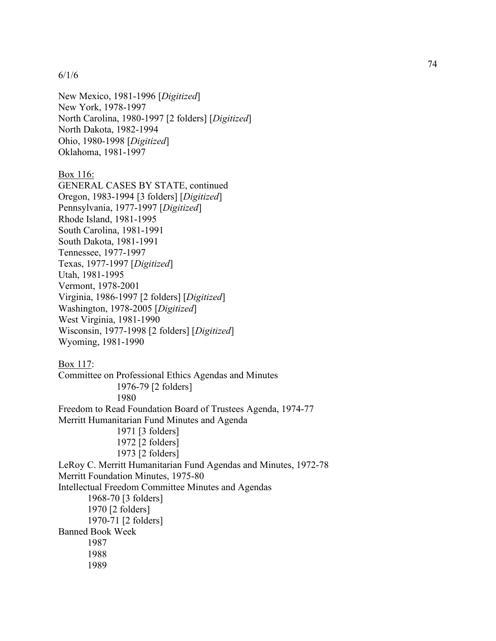6/1/6

New Mexico, 1981-1996 [*Digitized*] New York, 1978-1997 North Carolina, 1980-1997 [2 folders] [*Digitized*] North Dakota, 1982-1994 Ohio, 1980-1998 [*Digitized*] Oklahoma, 1981-1997

Box 116:

GENERAL CASES BY STATE, continued Oregon, 1983-1994 [3 folders] [*Digitized*] Pennsylvania, 1977-1997 [*Digitized*] Rhode Island, 1981-1995 South Carolina, 1981-1991 South Dakota, 1981-1991 Tennessee, 1977-1997 Texas, 1977-1997 [*Digitized*] Utah, 1981-1995 Vermont, 1978-2001 Virginia, 1986-1997 [2 folders] [*Digitized*] Washington, 1978-2005 [*Digitized*] West Virginia, 1981-1990 Wisconsin, 1977-1998 [2 folders] [*Digitized*] Wyoming, 1981-1990

Box 117: Committee on Professional Ethics Agendas and Minutes 1976-79 [2 folders] 1980 Freedom to Read Foundation Board of Trustees Agenda, 1974-77 Merritt Humanitarian Fund Minutes and Agenda 1971 [3 folders] 1972 [2 folders] 1973 [2 folders] LeRoy C. Merritt Humanitarian Fund Agendas and Minutes, 1972-78 Merritt Foundation Minutes, 1975-80 Intellectual Freedom Committee Minutes and Agendas 1968-70 [3 folders] 1970 [2 folders] 1970-71 [2 folders] Banned Book Week 1987 1988 1989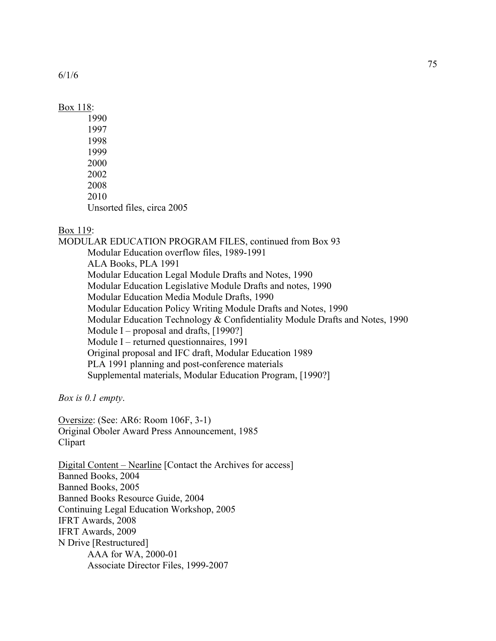6/1/6

## Box 118:

1990 1997 1998 1999 2000 2002 2008 2010 Unsorted files, circa 2005

## Box 119:

MODULAR EDUCATION PROGRAM FILES, continued from Box 93 Modular Education overflow files, 1989-1991 ALA Books, PLA 1991 Modular Education Legal Module Drafts and Notes, 1990 Modular Education Legislative Module Drafts and notes, 1990 Modular Education Media Module Drafts, 1990 Modular Education Policy Writing Module Drafts and Notes, 1990 Modular Education Technology & Confidentiality Module Drafts and Notes, 1990 Module I – proposal and drafts, [1990?] Module I – returned questionnaires, 1991 Original proposal and IFC draft, Modular Education 1989 PLA 1991 planning and post-conference materials Supplemental materials, Modular Education Program, [1990?]

*Box is 0.1 empty*.

Oversize: (See: AR6: Room 106F, 3-1) Original Oboler Award Press Announcement, 1985 Clipart

Digital Content – Nearline [Contact the Archives for access] Banned Books, 2004 Banned Books, 2005 Banned Books Resource Guide, 2004 Continuing Legal Education Workshop, 2005 IFRT Awards, 2008 IFRT Awards, 2009 N Drive [Restructured] AAA for WA, 2000-01 Associate Director Files, 1999-2007